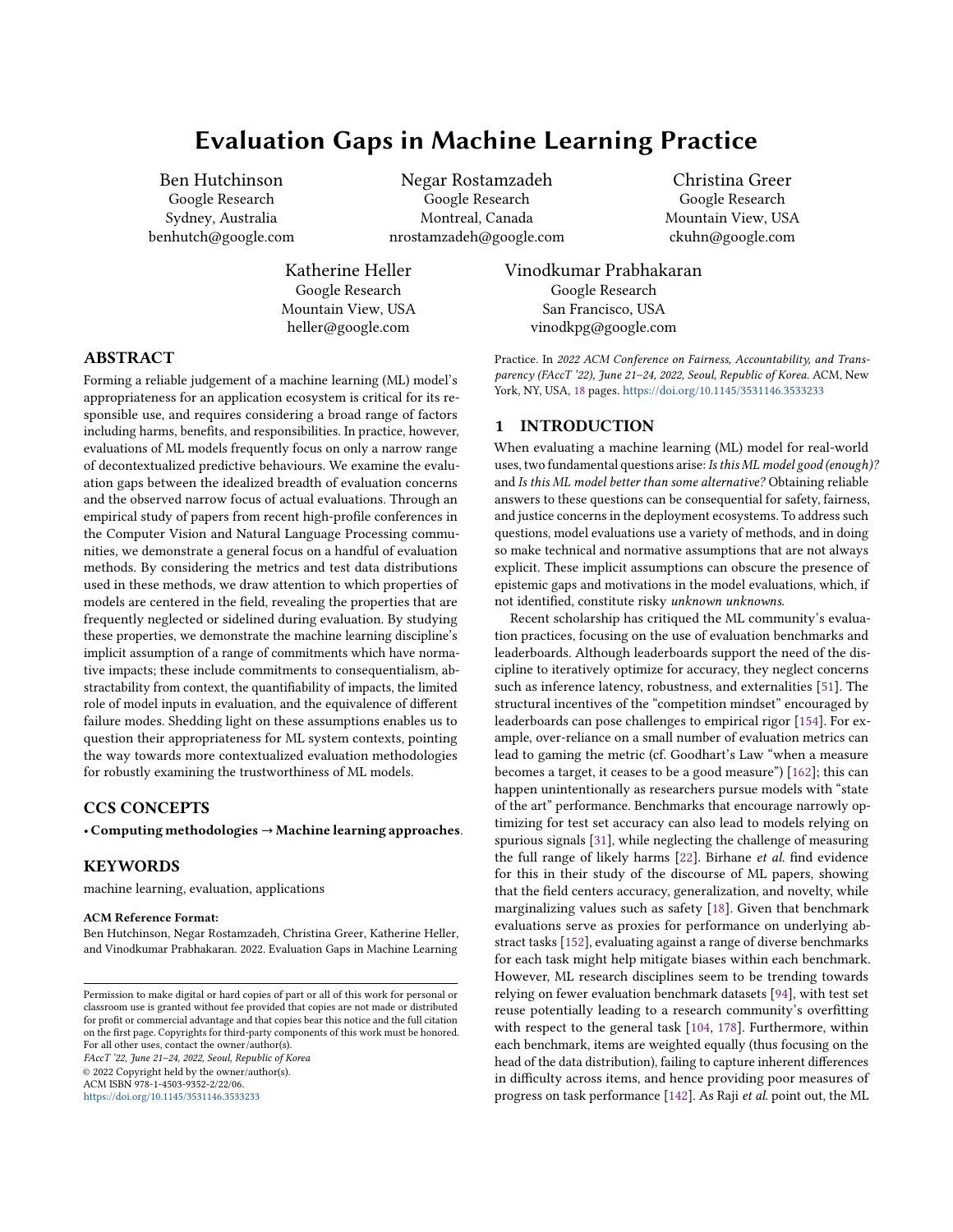# Evaluation Gaps in Machine Learning Practice

Ben Hutchinson Google Research Sydney, Australia benhutch@google.com

> Katherine Heller Google Research Mountain View, USA heller@google.com

Negar Rostamzadeh Google Research Montreal, Canada nrostamzadeh@google.com

Christina Greer Google Research Mountain View, USA ckuhn@google.com

Vinodkumar Prabhakaran Google Research San Francisco, USA vinodkpg@google.com

# ABSTRACT

Forming a reliable judgement of a machine learning (ML) model's appropriateness for an application ecosystem is critical for its responsible use, and requires considering a broad range of factors including harms, benefits, and responsibilities. In practice, however, evaluations of ML models frequently focus on only a narrow range of decontextualized predictive behaviours. We examine the evaluation gaps between the idealized breadth of evaluation concerns and the observed narrow focus of actual evaluations. Through an empirical study of papers from recent high-profile conferences in the Computer Vision and Natural Language Processing communities, we demonstrate a general focus on a handful of evaluation methods. By considering the metrics and test data distributions used in these methods, we draw attention to which properties of models are centered in the field, revealing the properties that are frequently neglected or sidelined during evaluation. By studying these properties, we demonstrate the machine learning discipline's implicit assumption of a range of commitments which have normative impacts; these include commitments to consequentialism, abstractability from context, the quantifiability of impacts, the limited role of model inputs in evaluation, and the equivalence of different failure modes. Shedding light on these assumptions enables us to question their appropriateness for ML system contexts, pointing the way towards more contextualized evaluation methodologies for robustly examining the trustworthiness of ML models.

### CCS CONCEPTS

• Computing methodologies → Machine learning approaches.

#### KEYWORDS

machine learning, evaluation, applications

#### ACM Reference Format:

Ben Hutchinson, Negar Rostamzadeh, Christina Greer, Katherine Heller, and Vinodkumar Prabhakaran. 2022. Evaluation Gaps in Machine Learning

FAccT '22, June 21–24, 2022, Seoul, Republic of Korea © 2022 Copyright held by the owner/author(s). ACM ISBN 978-1-4503-9352-2/22/06.

<https://doi.org/10.1145/3531146.3533233>

Practice. In 2022 ACM Conference on Fairness, Accountability, and Transparency (FAccT '22), June 21-24, 2022, Seoul, Republic of Korea. ACM, New York, NY, USA, [18](#page-17-0) pages. <https://doi.org/10.1145/3531146.3533233>

### 1 INTRODUCTION

When evaluating a machine learning (ML) model for real-world uses, two fundamental questions arise: Is this ML model good (enough)? and Is this ML model better than some alternative? Obtaining reliable answers to these questions can be consequential for safety, fairness, and justice concerns in the deployment ecosystems. To address such questions, model evaluations use a variety of methods, and in doing so make technical and normative assumptions that are not always explicit. These implicit assumptions can obscure the presence of epistemic gaps and motivations in the model evaluations, which, if not identified, constitute risky unknown unknowns.

Recent scholarship has critiqued the ML community's evaluation practices, focusing on the use of evaluation benchmarks and leaderboards. Although leaderboards support the need of the discipline to iteratively optimize for accuracy, they neglect concerns such as inference latency, robustness, and externalities [\[51\]](#page-11-0). The structural incentives of the "competition mindset" encouraged by leaderboards can pose challenges to empirical rigor [\[154\]](#page-13-0). For example, over-reliance on a small number of evaluation metrics can lead to gaming the metric (cf. Goodhart's Law "when a measure becomes a target, it ceases to be a good measure") [\[162\]](#page-13-1); this can happen unintentionally as researchers pursue models with "state of the art" performance. Benchmarks that encourage narrowly optimizing for test set accuracy can also lead to models relying on spurious signals [\[31\]](#page-10-0), while neglecting the challenge of measuring the full range of likely harms [\[22\]](#page-10-1). Birhane et al. find evidence for this in their study of the discourse of ML papers, showing that the field centers accuracy, generalization, and novelty, while marginalizing values such as safety [\[18\]](#page-10-2). Given that benchmark evaluations serve as proxies for performance on underlying abstract tasks [\[152\]](#page-13-2), evaluating against a range of diverse benchmarks for each task might help mitigate biases within each benchmark. However, ML research disciplines seem to be trending towards relying on fewer evaluation benchmark datasets [\[94\]](#page-11-1), with test set reuse potentially leading to a research community's overfitting with respect to the general task [\[104,](#page-12-0) [178\]](#page-13-3). Furthermore, within each benchmark, items are weighted equally (thus focusing on the head of the data distribution), failing to capture inherent differences in difficulty across items, and hence providing poor measures of progress on task performance [\[142\]](#page-12-1). As Raji et al. point out, the ML

Permission to make digital or hard copies of part or all of this work for personal or classroom use is granted without fee provided that copies are not made or distributed for profit or commercial advantage and that copies bear this notice and the full citation on the first page. Copyrights for third-party components of this work must be honored. For all other uses, contact the owner/author(s).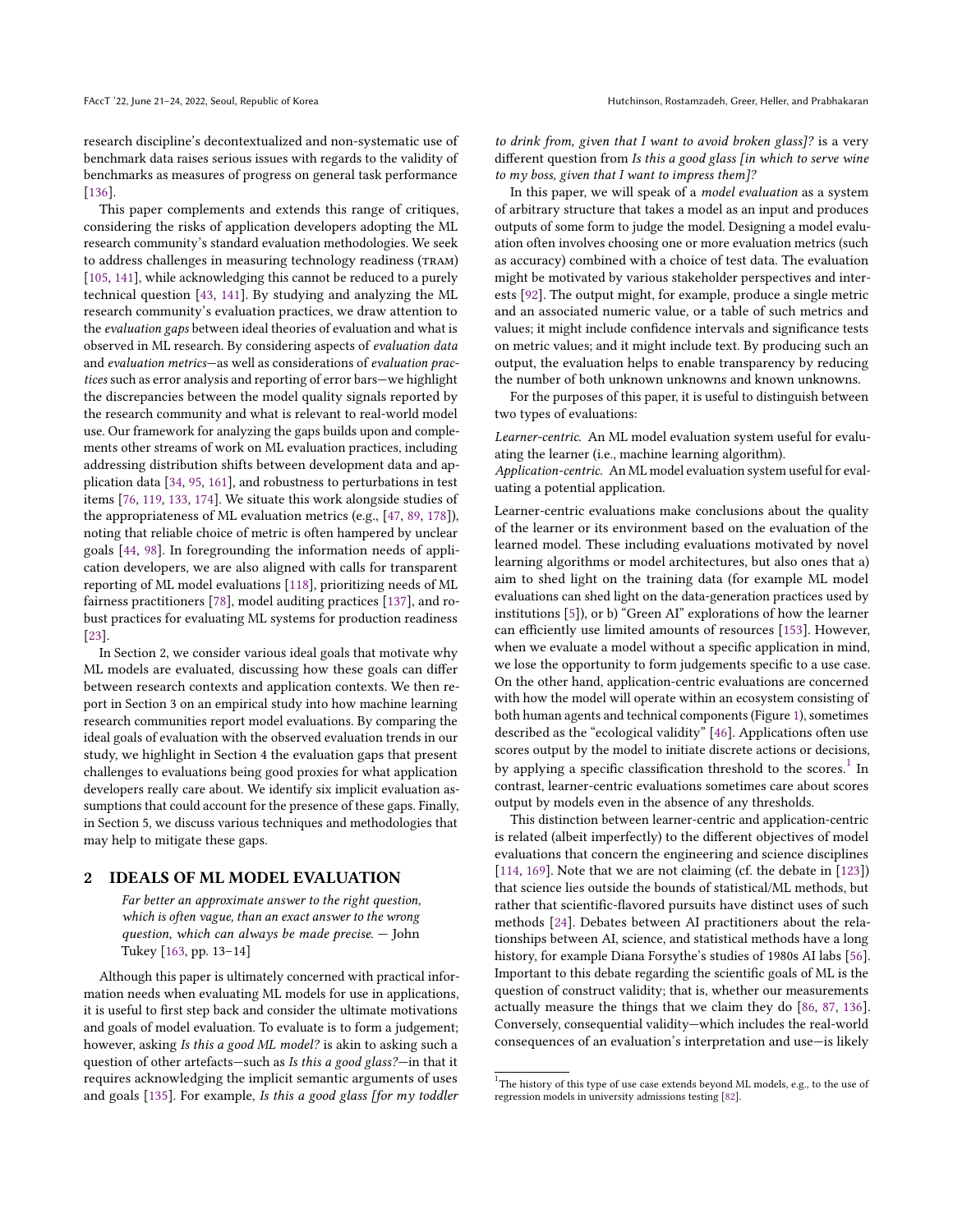research discipline's decontextualized and non-systematic use of benchmark data raises serious issues with regards to the validity of benchmarks as measures of progress on general task performance [\[136\]](#page-12-2).

This paper complements and extends this range of critiques, considering the risks of application developers adopting the ML research community's standard evaluation methodologies. We seek to address challenges in measuring technology readiness (TRAM) [\[105,](#page-12-3) [141\]](#page-12-4), while acknowledging this cannot be reduced to a purely technical question [\[43,](#page-10-3) [141\]](#page-12-4). By studying and analyzing the ML research community's evaluation practices, we draw attention to the evaluation gaps between ideal theories of evaluation and what is observed in ML research. By considering aspects of evaluation data and evaluation metrics—as well as considerations of evaluation practices such as error analysis and reporting of error bars—we highlight the discrepancies between the model quality signals reported by the research community and what is relevant to real-world model use. Our framework for analyzing the gaps builds upon and complements other streams of work on ML evaluation practices, including addressing distribution shifts between development data and application data [\[34,](#page-10-4) [95,](#page-11-2) [161\]](#page-13-4), and robustness to perturbations in test items [\[76,](#page-11-3) [119,](#page-12-5) [133,](#page-12-6) [174\]](#page-13-5). We situate this work alongside studies of the appropriateness of ML evaluation metrics (e.g., [\[47,](#page-10-5) [89,](#page-11-4) [178\]](#page-13-3)), noting that reliable choice of metric is often hampered by unclear goals [\[44,](#page-10-6) [98\]](#page-11-5). In foregrounding the information needs of application developers, we are also aligned with calls for transparent reporting of ML model evaluations [\[118\]](#page-12-7), prioritizing needs of ML fairness practitioners [\[78\]](#page-11-6), model auditing practices [\[137\]](#page-12-8), and robust practices for evaluating ML systems for production readiness [\[23\]](#page-10-7).

In Section 2, we consider various ideal goals that motivate why ML models are evaluated, discussing how these goals can differ between research contexts and application contexts. We then report in Section 3 on an empirical study into how machine learning research communities report model evaluations. By comparing the ideal goals of evaluation with the observed evaluation trends in our study, we highlight in Section 4 the evaluation gaps that present challenges to evaluations being good proxies for what application developers really care about. We identify six implicit evaluation assumptions that could account for the presence of these gaps. Finally, in Section 5, we discuss various techniques and methodologies that may help to mitigate these gaps.

#### <span id="page-1-1"></span>2 IDEALS OF ML MODEL EVALUATION

Far better an approximate answer to the right question, which is often vague, than an exact answer to the wrong question, which can always be made precise. — John Tukey [\[163,](#page-13-6) pp. 13–14]

Although this paper is ultimately concerned with practical information needs when evaluating ML models for use in applications, it is useful to first step back and consider the ultimate motivations and goals of model evaluation. To evaluate is to form a judgement; however, asking Is this a good ML model? is akin to asking such a question of other artefacts—such as Is this a good glass?—in that it requires acknowledging the implicit semantic arguments of uses and goals [\[135\]](#page-12-9). For example, Is this a good glass [for my toddler

to drink from, given that I want to avoid broken glass]? is a very different question from Is this a good glass [in which to serve wine to my boss, given that I want to impress them]?

In this paper, we will speak of a model evaluation as a system of arbitrary structure that takes a model as an input and produces outputs of some form to judge the model. Designing a model evaluation often involves choosing one or more evaluation metrics (such as accuracy) combined with a choice of test data. The evaluation might be motivated by various stakeholder perspectives and interests [\[92\]](#page-11-7). The output might, for example, produce a single metric and an associated numeric value, or a table of such metrics and values; it might include confidence intervals and significance tests on metric values; and it might include text. By producing such an output, the evaluation helps to enable transparency by reducing the number of both unknown unknowns and known unknowns.

For the purposes of this paper, it is useful to distinguish between two types of evaluations:

Learner-centric. An ML model evaluation system useful for evaluating the learner (i.e., machine learning algorithm).

Application-centric. An ML model evaluation system useful for evaluating a potential application.

Learner-centric evaluations make conclusions about the quality of the learner or its environment based on the evaluation of the learned model. These including evaluations motivated by novel learning algorithms or model architectures, but also ones that a) aim to shed light on the training data (for example ML model evaluations can shed light on the data-generation practices used by institutions [\[5\]](#page-10-8)), or b) "Green AI" explorations of how the learner can efficiently use limited amounts of resources [\[153\]](#page-13-7). However, when we evaluate a model without a specific application in mind, we lose the opportunity to form judgements specific to a use case. On the other hand, application-centric evaluations are concerned with how the model will operate within an ecosystem consisting of both human agents and technical components (Figure [1\)](#page-2-0), sometimes described as the "ecological validity" [\[46\]](#page-10-9). Applications often use scores output by the model to initiate discrete actions or decisions, by applying a specific classification threshold to the scores.<sup>[1](#page-1-0)</sup> In contrast, learner-centric evaluations sometimes care about scores output by models even in the absence of any thresholds.

This distinction between learner-centric and application-centric is related (albeit imperfectly) to the different objectives of model evaluations that concern the engineering and science disciplines [\[114,](#page-12-10) [169\]](#page-13-8). Note that we are not claiming (cf. the debate in [\[123\]](#page-12-11)) that science lies outside the bounds of statistical/ML methods, but rather that scientific-flavored pursuits have distinct uses of such methods [\[24\]](#page-10-10). Debates between AI practitioners about the relationships between AI, science, and statistical methods have a long history, for example Diana Forsythe's studies of 1980s AI labs [\[56\]](#page-11-8). Important to this debate regarding the scientific goals of ML is the question of construct validity; that is, whether our measurements actually measure the things that we claim they do [\[86,](#page-11-9) [87,](#page-11-10) [136\]](#page-12-2). Conversely, consequential validity—which includes the real-world consequences of an evaluation's interpretation and use—is likely

<span id="page-1-0"></span> $^1$ The history of this type of use case extends beyond ML models, e.g., to the use of regression models in university admissions testing [\[82\]](#page-11-11).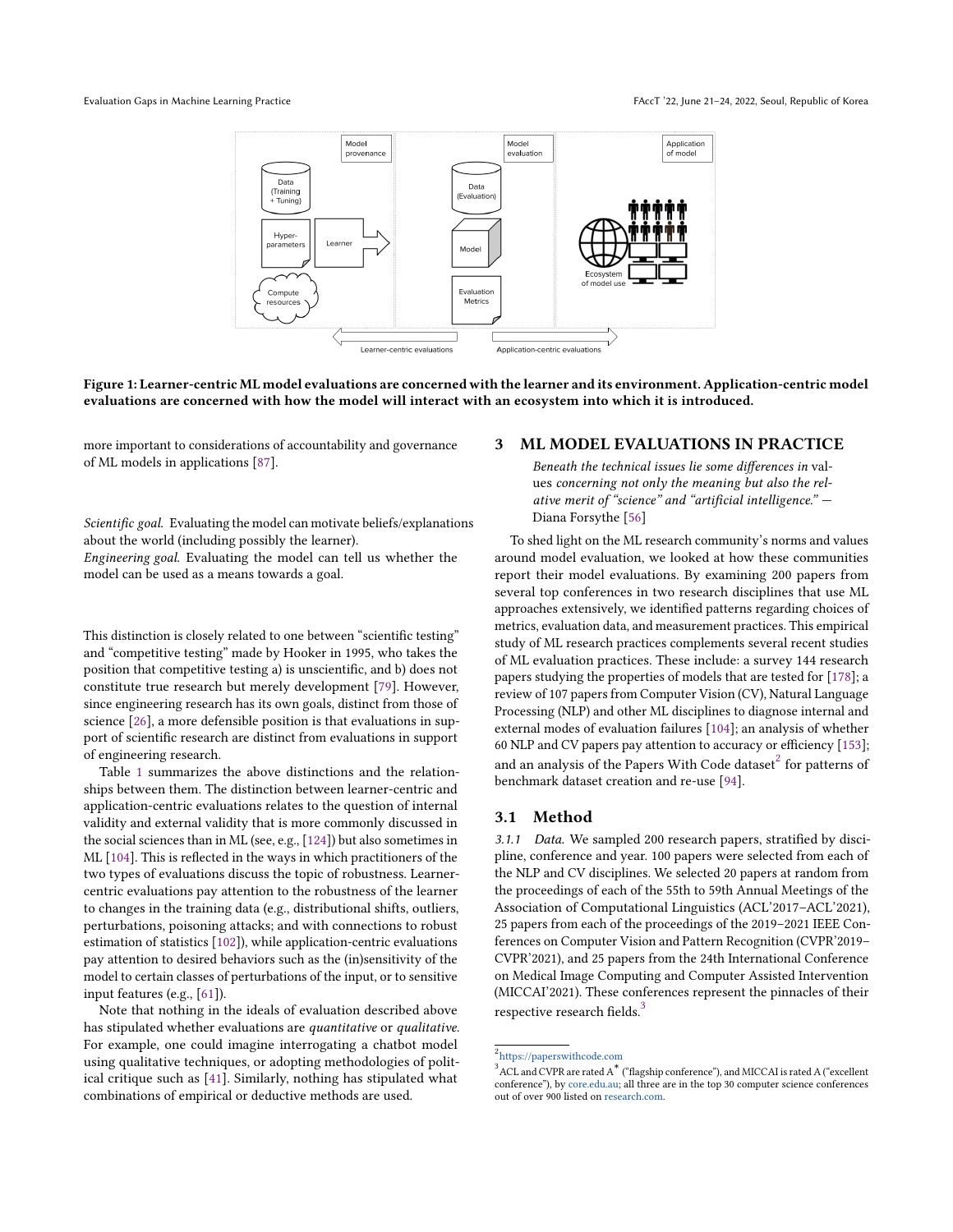<span id="page-2-0"></span>

Figure 1: Learner-centric ML model evaluations are concerned with the learner and its environment. Application-centric model evaluations are concerned with how the model will interact with an ecosystem into which it is introduced.

more important to considerations of accountability and governance of ML models in applications [\[87\]](#page-11-10).

Scientific goal. Evaluating the model can motivate beliefs/explanations about the world (including possibly the learner).

Engineering goal. Evaluating the model can tell us whether the model can be used as a means towards a goal.

This distinction is closely related to one between "scientific testing" and "competitive testing" made by Hooker in 1995, who takes the position that competitive testing a) is unscientific, and b) does not constitute true research but merely development [\[79\]](#page-11-12). However, since engineering research has its own goals, distinct from those of science [\[26\]](#page-10-11), a more defensible position is that evaluations in support of scientific research are distinct from evaluations in support of engineering research.

Table [1](#page-3-0) summarizes the above distinctions and the relationships between them. The distinction between learner-centric and application-centric evaluations relates to the question of internal validity and external validity that is more commonly discussed in the social sciences than in ML (see, e.g., [\[124\]](#page-12-12)) but also sometimes in ML [\[104\]](#page-12-0). This is reflected in the ways in which practitioners of the two types of evaluations discuss the topic of robustness. Learnercentric evaluations pay attention to the robustness of the learner to changes in the training data (e.g., distributional shifts, outliers, perturbations, poisoning attacks; and with connections to robust estimation of statistics [\[102\]](#page-12-13)), while application-centric evaluations pay attention to desired behaviors such as the (in)sensitivity of the model to certain classes of perturbations of the input, or to sensitive input features (e.g., [\[61\]](#page-11-13)).

Note that nothing in the ideals of evaluation described above has stipulated whether evaluations are quantitative or qualitative. For example, one could imagine interrogating a chatbot model using qualitative techniques, or adopting methodologies of political critique such as [\[41\]](#page-10-12). Similarly, nothing has stipulated what combinations of empirical or deductive methods are used.

#### <span id="page-2-3"></span>3 ML MODEL EVALUATIONS IN PRACTICE

Beneath the technical issues lie some differences in values concerning not only the meaning but also the relative merit of "science" and "artificial intelligence." — Diana Forsythe [\[56\]](#page-11-8)

To shed light on the ML research community's norms and values around model evaluation, we looked at how these communities report their model evaluations. By examining 200 papers from several top conferences in two research disciplines that use ML approaches extensively, we identified patterns regarding choices of metrics, evaluation data, and measurement practices. This empirical study of ML research practices complements several recent studies of ML evaluation practices. These include: a survey 144 research papers studying the properties of models that are tested for [\[178\]](#page-13-3); a review of 107 papers from Computer Vision (CV), Natural Language Processing (NLP) and other ML disciplines to diagnose internal and external modes of evaluation failures [\[104\]](#page-12-0); an analysis of whether 60 NLP and CV papers pay attention to accuracy or efficiency [\[153\]](#page-13-7); and an analysis of the Papers With Code dataset $^2$  $^2$  for patterns of benchmark dataset creation and re-use [\[94\]](#page-11-1).

### 3.1 Method

3.1.1 Data. We sampled 200 research papers, stratified by discipline, conference and year. 100 papers were selected from each of the NLP and CV disciplines. We selected 20 papers at random from the proceedings of each of the 55th to 59th Annual Meetings of the Association of Computational Linguistics (ACL'2017–ACL'2021), 25 papers from each of the proceedings of the 2019–2021 IEEE Conferences on Computer Vision and Pattern Recognition (CVPR'2019– CVPR'2021), and 25 papers from the 24th International Conference on Medical Image Computing and Computer Assisted Intervention (MICCAI'2021). These conferences represent the pinnacles of their respective research fields.<sup>[3](#page-2-2)</sup>

<span id="page-2-1"></span><sup>2</sup> <https://paperswithcode.com>

<span id="page-2-2"></span> $3$  ACL and CVPR are rated A<sup>\*</sup> ("flagship conference"), and MICCAI is rated A ("excellent conference"), by [core.edu.au;](core.edu.au) all three are in the top 30 computer science conferences out of over 900 listed on [research.com.](research.com)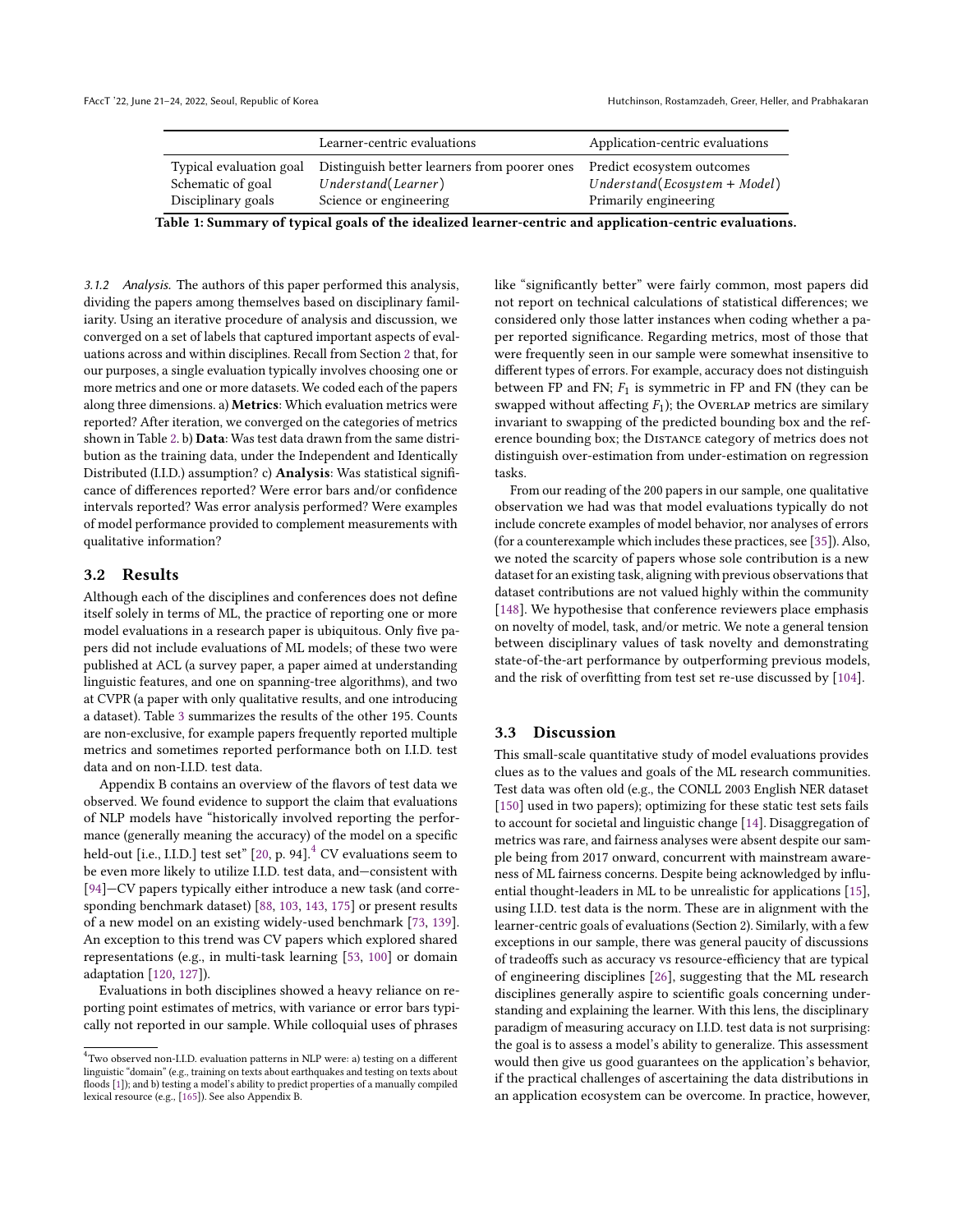<span id="page-3-0"></span>

|                         | Learner-centric evaluations                  | Application-centric evaluations |
|-------------------------|----------------------------------------------|---------------------------------|
| Typical evaluation goal | Distinguish better learners from poorer ones | Predict ecosystem outcomes      |
| Schematic of goal       | Understand(Learner)                          | $Understand(Ecosystem + Model)$ |
| Disciplinary goals      | Science or engineering                       | Primarily engineering           |

Table 1: Summary of typical goals of the idealized learner-centric and application-centric evaluations.

3.1.2 Analysis. The authors of this paper performed this analysis, dividing the papers among themselves based on disciplinary familiarity. Using an iterative procedure of analysis and discussion, we converged on a set of labels that captured important aspects of evaluations across and within disciplines. Recall from Section [2](#page-1-1) that, for our purposes, a single evaluation typically involves choosing one or more metrics and one or more datasets. We coded each of the papers along three dimensions. a) Metrics: Which evaluation metrics were reported? After iteration, we converged on the categories of metrics shown in Table [2.](#page-4-0) b) Data: Was test data drawn from the same distribution as the training data, under the Independent and Identically Distributed (I.I.D.) assumption? c) Analysis: Was statistical significance of differences reported? Were error bars and/or confidence intervals reported? Was error analysis performed? Were examples of model performance provided to complement measurements with qualitative information?

#### 3.2 Results

Although each of the disciplines and conferences does not define itself solely in terms of ML, the practice of reporting one or more model evaluations in a research paper is ubiquitous. Only five papers did not include evaluations of ML models; of these two were published at ACL (a survey paper, a paper aimed at understanding linguistic features, and one on spanning-tree algorithms), and two at CVPR (a paper with only qualitative results, and one introducing a dataset). Table [3](#page-4-1) summarizes the results of the other 195. Counts are non-exclusive, for example papers frequently reported multiple metrics and sometimes reported performance both on I.I.D. test data and on non-I.I.D. test data.

Appendix B contains an overview of the flavors of test data we observed. We found evidence to support the claim that evaluations of NLP models have "historically involved reporting the performance (generally meaning the accuracy) of the model on a specific held-out [i.e., I.I.D.] test set" [\[20,](#page-10-13) p. 9[4](#page-3-1)].<sup>4</sup> CV evaluations seem to be even more likely to utilize I.I.D. test data, and—consistent with [\[94\]](#page-11-1)—CV papers typically either introduce a new task (and corresponding benchmark dataset) [\[88,](#page-11-14) [103,](#page-12-14) [143,](#page-12-15) [175\]](#page-13-9) or present results of a new model on an existing widely-used benchmark [\[73,](#page-11-15) [139\]](#page-12-16). An exception to this trend was CV papers which explored shared representations (e.g., in multi-task learning [\[53,](#page-11-16) [100\]](#page-12-17) or domain adaptation [\[120,](#page-12-18) [127\]](#page-12-19)).

Evaluations in both disciplines showed a heavy reliance on reporting point estimates of metrics, with variance or error bars typically not reported in our sample. While colloquial uses of phrases

like "significantly better" were fairly common, most papers did not report on technical calculations of statistical differences; we considered only those latter instances when coding whether a paper reported significance. Regarding metrics, most of those that were frequently seen in our sample were somewhat insensitive to different types of errors. For example, accuracy does not distinguish between FP and FN;  $F_1$  is symmetric in FP and FN (they can be swapped without affecting  $F_1$ ); the Overlap metrics are similary invariant to swapping of the predicted bounding box and the reference bounding box; the Distance category of metrics does not distinguish over-estimation from under-estimation on regression tasks.

From our reading of the 200 papers in our sample, one qualitative observation we had was that model evaluations typically do not include concrete examples of model behavior, nor analyses of errors (for a counterexample which includes these practices, see [\[35\]](#page-10-15)). Also, we noted the scarcity of papers whose sole contribution is a new dataset for an existing task, aligning with previous observations that dataset contributions are not valued highly within the community [\[148\]](#page-13-11). We hypothesise that conference reviewers place emphasis on novelty of model, task, and/or metric. We note a general tension between disciplinary values of task novelty and demonstrating state-of-the-art performance by outperforming previous models, and the risk of overfitting from test set re-use discussed by [\[104\]](#page-12-0).

#### 3.3 Discussion

This small-scale quantitative study of model evaluations provides clues as to the values and goals of the ML research communities. Test data was often old (e.g., the CONLL 2003 English NER dataset [\[150\]](#page-13-12) used in two papers); optimizing for these static test sets fails to account for societal and linguistic change [\[14\]](#page-10-16). Disaggregation of metrics was rare, and fairness analyses were absent despite our sample being from 2017 onward, concurrent with mainstream awareness of ML fairness concerns. Despite being acknowledged by influential thought-leaders in ML to be unrealistic for applications [\[15\]](#page-10-17), using I.I.D. test data is the norm. These are in alignment with the learner-centric goals of evaluations (Section 2). Similarly, with a few exceptions in our sample, there was general paucity of discussions of tradeoffs such as accuracy vs resource-efficiency that are typical of engineering disciplines [\[26\]](#page-10-11), suggesting that the ML research disciplines generally aspire to scientific goals concerning understanding and explaining the learner. With this lens, the disciplinary paradigm of measuring accuracy on I.I.D. test data is not surprising: the goal is to assess a model's ability to generalize. This assessment would then give us good guarantees on the application's behavior, if the practical challenges of ascertaining the data distributions in an application ecosystem can be overcome. In practice, however,

<span id="page-3-1"></span> $^4$ Two observed non-I.I.D. evaluation patterns in NLP were: a) testing on a different linguistic "domain" (e.g., training on texts about earthquakes and testing on texts about floods [\[1\]](#page-10-14)); and b) testing a model's ability to predict properties of a manually compiled lexical resource (e.g., [\[165\]](#page-13-10)). See also Appendix B.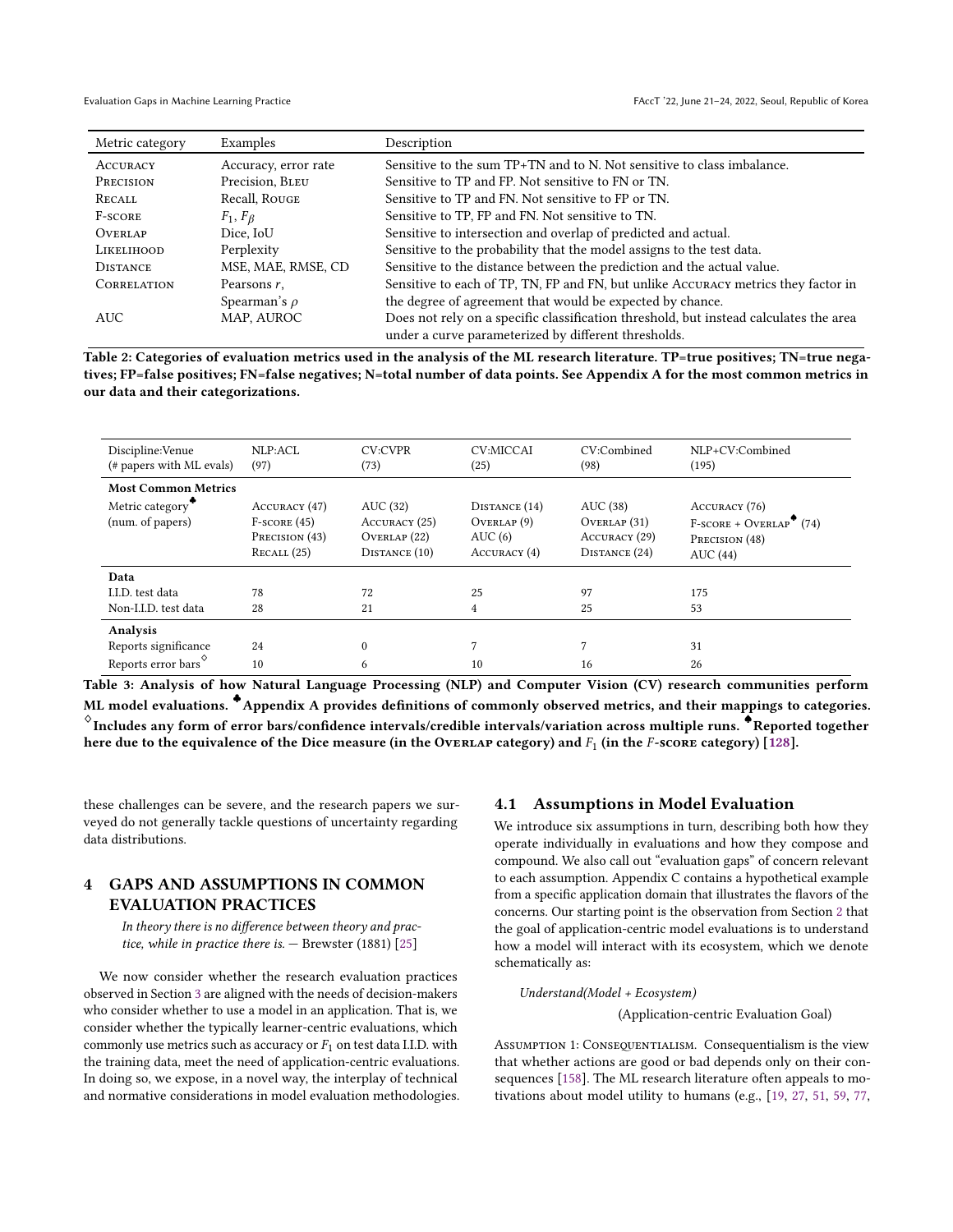<span id="page-4-0"></span>

| Metric category   | Examples             | Description                                                                           |
|-------------------|----------------------|---------------------------------------------------------------------------------------|
| <b>ACCURACY</b>   | Accuracy, error rate | Sensitive to the sum $TP+TN$ and to N. Not sensitive to class imbalance.              |
| PRECISION         | Precision, BLEU      | Sensitive to TP and FP. Not sensitive to FN or TN.                                    |
| RECALL            | Recall, Rouge        | Sensitive to TP and FN. Not sensitive to FP or TN.                                    |
| <b>F-SCORE</b>    | $F_1, F_{\beta}$     | Sensitive to TP, FP and FN. Not sensitive to TN.                                      |
| <b>OVERLAP</b>    | Dice, IoU            | Sensitive to intersection and overlap of predicted and actual.                        |
| <b>LIKELIHOOD</b> | Perplexity           | Sensitive to the probability that the model assigns to the test data.                 |
| <b>DISTANCE</b>   | MSE, MAE, RMSE, CD   | Sensitive to the distance between the prediction and the actual value.                |
| CORRELATION       | Pearsons r.          | Sensitive to each of TP, TN, FP and FN, but unlike ACCURACY metrics they factor in    |
|                   | Spearman's $\rho$    | the degree of agreement that would be expected by chance.                             |
| <b>AUC</b>        | MAP, AUROC           | Does not rely on a specific classification threshold, but instead calculates the area |
|                   |                      | under a curve parameterized by different thresholds.                                  |

Table 2: Categories of evaluation metrics used in the analysis of the ML research literature. TP=true positives; TN=true negatives; FP=false positives; FN=false negatives; N=total number of data points. See Appendix A for the most common metrics in our data and their categorizations.

<span id="page-4-1"></span>

| Discipline: Venue<br>(# papers with ML evals)       | NLP:ACL<br>(97)                                                 | <b>CV:CVPR</b><br>(73)                                     | <b>CV:MICCAI</b><br>(25)                              | CV:Combined<br>(98)                                       | NLP+CV:Combined<br>(195)                                               |
|-----------------------------------------------------|-----------------------------------------------------------------|------------------------------------------------------------|-------------------------------------------------------|-----------------------------------------------------------|------------------------------------------------------------------------|
| <b>Most Common Metrics</b>                          |                                                                 |                                                            |                                                       |                                                           |                                                                        |
| Metric category <sup>7</sup><br>(num. of papers)    | ACCURACY (47)<br>$F-score (45)$<br>PRECISION (43)<br>RecALL(25) | AUC (32)<br>ACCURACY (25)<br>OVERLAP (22)<br>DISTANCE (10) | DISTANCE (14)<br>OVERLAP(9)<br>AUC(6)<br>ACCURACY (4) | AUC (38)<br>OVERLAP(31)<br>ACCURACY (29)<br>DISTANCE (24) | ACCURACY (76)<br>$F-score + OVERLAP$ (74)<br>PRECISION (48)<br>AUC(44) |
| Data                                                |                                                                 |                                                            |                                                       |                                                           |                                                                        |
| I.I.D. test data                                    | 78                                                              | 72                                                         | 25                                                    | 97                                                        | 175                                                                    |
| Non-I.I.D. test data                                | 28                                                              | 21                                                         | 4                                                     | 25                                                        | 53                                                                     |
| <b>Analysis</b>                                     |                                                                 |                                                            |                                                       |                                                           |                                                                        |
| Reports significance                                | 24                                                              | $\mathbf{0}$                                               |                                                       |                                                           | 31                                                                     |
| Reports error bars <sup><math>\diamond</math></sup> | 10                                                              | 6                                                          | 10                                                    | 16                                                        | 26                                                                     |

Table 3: Analysis of how Natural Language Processing (NLP) and Computer Vision (CV) research communities perform ML model evaluations. <sup>◆</sup>Appendix A provides definitions of commonly observed metrics, and their mappings to categories.  $^{\diamond}$ Includes any form of error bars/confidence intervals/credible intervals/variation across multiple runs. ♦Reported together here due to the equivalence of the Dice measure (in the OvERLAP category) and  $F_1$  (in the F-score category) [\[128\]](#page-12-20).

these challenges can be severe, and the research papers we surveyed do not generally tackle questions of uncertainty regarding data distributions.

## <span id="page-4-2"></span>4 GAPS AND ASSUMPTIONS IN COMMON EVALUATION PRACTICES

In theory there is no difference between theory and practice, while in practice there is.  $-$  Brewster (1881) [\[25\]](#page-10-18)

We now consider whether the research evaluation practices observed in Section [3](#page-2-3) are aligned with the needs of decision-makers who consider whether to use a model in an application. That is, we consider whether the typically learner-centric evaluations, which commonly use metrics such as accuracy or  $F_1$  on test data I.I.D. with the training data, meet the need of application-centric evaluations. In doing so, we expose, in a novel way, the interplay of technical and normative considerations in model evaluation methodologies.

#### 4.1 Assumptions in Model Evaluation

We introduce six assumptions in turn, describing both how they operate individually in evaluations and how they compose and compound. We also call out "evaluation gaps" of concern relevant to each assumption. Appendix C contains a hypothetical example from a specific application domain that illustrates the flavors of the concerns. Our starting point is the observation from Section [2](#page-1-1) that the goal of application-centric model evaluations is to understand how a model will interact with its ecosystem, which we denote schematically as:

# Understand(Model + Ecosystem)

(Application-centric Evaluation Goal)

ASSUMPTION 1: CONSEQUENTIALISM. Consequentialism is the view that whether actions are good or bad depends only on their consequences [\[158\]](#page-13-13). The ML research literature often appeals to motivations about model utility to humans (e.g., [\[19,](#page-10-19) [27,](#page-10-20) [51,](#page-11-0) [59,](#page-11-17) [77,](#page-11-18)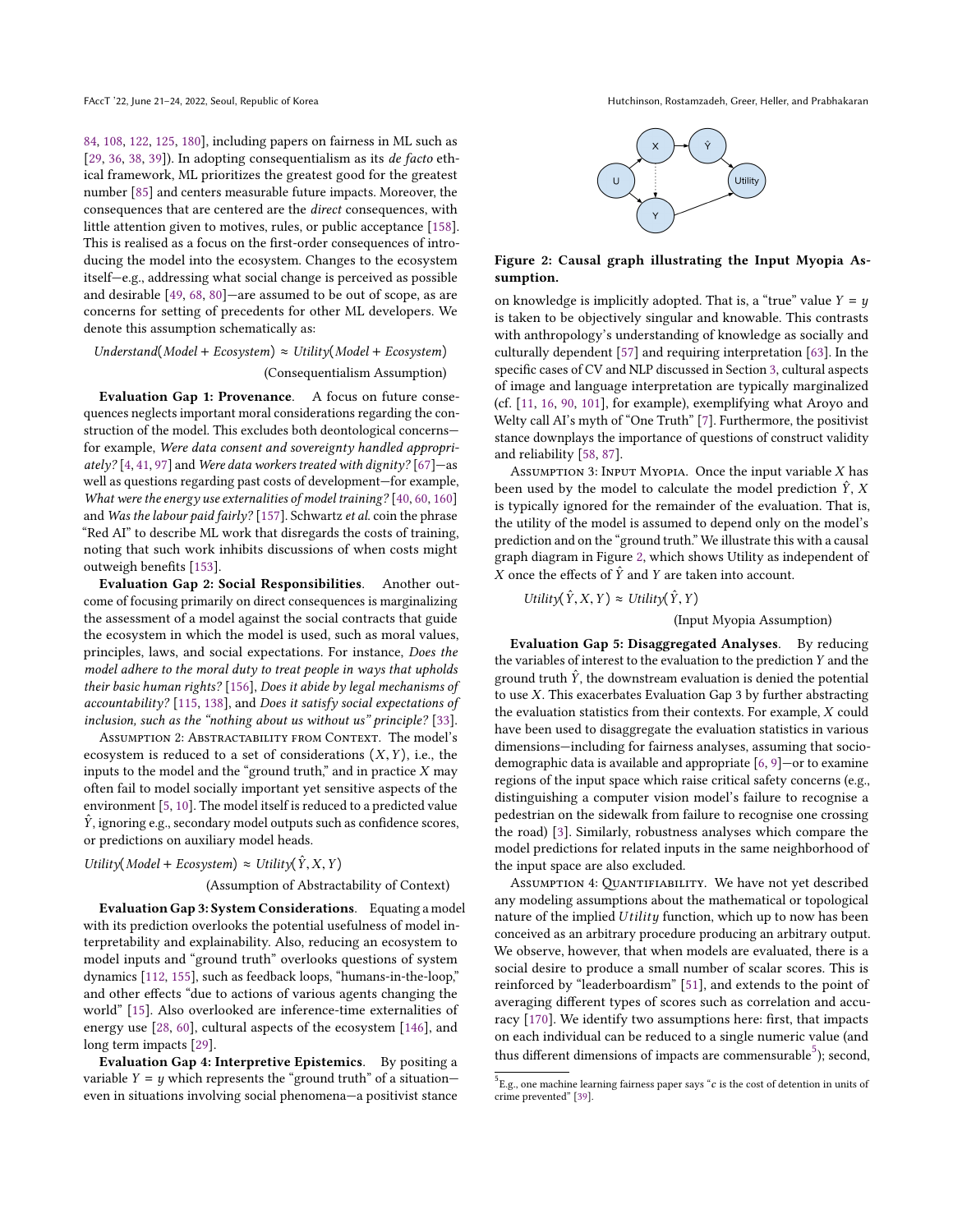[84,](#page-11-19) [108,](#page-12-21) [122,](#page-12-22) [125,](#page-12-23) [180\]](#page-13-14), including papers on fairness in ML such as [\[29,](#page-10-21) [36,](#page-10-22) [38,](#page-10-23) [39\]](#page-10-24)). In adopting consequentialism as its *de facto* ethical framework, ML prioritizes the greatest good for the greatest number [\[85\]](#page-11-20) and centers measurable future impacts. Moreover, the consequences that are centered are the direct consequences, with little attention given to motives, rules, or public acceptance [\[158\]](#page-13-13). This is realised as a focus on the first-order consequences of introducing the model into the ecosystem. Changes to the ecosystem itself—e.g., addressing what social change is perceived as possible and desirable [\[49,](#page-11-21) [68,](#page-11-22) [80\]](#page-11-23)—are assumed to be out of scope, as are concerns for setting of precedents for other ML developers. We denote this assumption schematically as:

### $Understanding(Model + Ecosystem) \approx Utility(Model + Ecosystem)$ (Consequentialism Assumption)

Evaluation Gap 1: Provenance. A focus on future consequences neglects important moral considerations regarding the construction of the model. This excludes both deontological concerns for example, Were data consent and sovereignty handled appropri-ately? [\[4,](#page-10-25) [41,](#page-10-12) [97\]](#page-11-24) and Were data workers treated with dignity? [\[67\]](#page-11-25)—as well as questions regarding past costs of development—for example, What were the energy use externalities of model training? [\[40,](#page-10-26) [60,](#page-11-26) [160\]](#page-13-15) and Was the labour paid fairly? [\[157\]](#page-13-16). Schwartz et al. coin the phrase "Red AI" to describe ML work that disregards the costs of training, noting that such work inhibits discussions of when costs might outweigh benefits [\[153\]](#page-13-7).

Evaluation Gap 2: Social Responsibilities. Another outcome of focusing primarily on direct consequences is marginalizing the assessment of a model against the social contracts that guide the ecosystem in which the model is used, such as moral values, principles, laws, and social expectations. For instance, Does the model adhere to the moral duty to treat people in ways that upholds their basic human rights? [\[156\]](#page-13-17), Does it abide by legal mechanisms of accountability? [\[115,](#page-12-24) [138\]](#page-12-25), and Does it satisfy social expectations of inclusion, such as the "nothing about us without us" principle? [\[33\]](#page-10-27).

Assumption 2: Abstractability from Context. The model's ecosystem is reduced to a set of considerations  $(X, Y)$ , i.e., the inputs to the model and the "ground truth," and in practice  $X$  may often fail to model socially important yet sensitive aspects of the environment [\[5,](#page-10-8) [10\]](#page-10-28). The model itself is reduced to a predicted value  $\hat{Y}$ , ignoring e.g., secondary model outputs such as confidence scores, or predictions on auxiliary model heads.

Utility(Model + Ecosystem)  $\approx$  Utility( $\hat{Y}, X, Y$ )

#### (Assumption of Abstractability of Context)

Evaluation Gap 3: System Considerations. Equating a model with its prediction overlooks the potential usefulness of model interpretability and explainability. Also, reducing an ecosystem to model inputs and "ground truth" overlooks questions of system dynamics [\[112,](#page-12-26) [155\]](#page-13-18), such as feedback loops, "humans-in-the-loop," and other effects "due to actions of various agents changing the world" [\[15\]](#page-10-17). Also overlooked are inference-time externalities of energy use [\[28,](#page-10-29) [60\]](#page-11-26), cultural aspects of the ecosystem [\[146\]](#page-12-27), and long term impacts [\[29\]](#page-10-21).

Evaluation Gap 4: Interpretive Epistemics. By positing a variable  $Y = y$  which represents the "ground truth" of a situationeven in situations involving social phenomena—a positivist stance

FAccT '22, June 21-24, 2022, Seoul, Republic of Korea Hutchinson, Rostamzadeh, Greer, Heller, and Prabhakaran

<span id="page-5-0"></span>

#### Figure 2: Causal graph illustrating the Input Myopia Assumption.

on knowledge is implicitly adopted. That is, a "true" value  $Y = y$ is taken to be objectively singular and knowable. This contrasts with anthropology's understanding of knowledge as socially and culturally dependent [\[57\]](#page-11-27) and requiring interpretation [\[63\]](#page-11-28). In the specific cases of CV and NLP discussed in Section [3,](#page-2-3) cultural aspects of image and language interpretation are typically marginalized (cf. [\[11,](#page-10-30) [16,](#page-10-31) [90,](#page-11-29) [101\]](#page-12-28), for example), exemplifying what Aroyo and Welty call AI's myth of "One Truth" [\[7\]](#page-10-32). Furthermore, the positivist stance downplays the importance of questions of construct validity and reliability [\[58,](#page-11-30) [87\]](#page-11-10).

ASSUMPTION 3: INPUT MYOPIA. Once the input variable  $X$  has been used by the model to calculate the model prediction  $\hat{Y}$ , X is typically ignored for the remainder of the evaluation. That is, the utility of the model is assumed to depend only on the model's prediction and on the "ground truth." We illustrate this with a causal graph diagram in Figure [2,](#page-5-0) which shows Utility as independent of X once the effects of  $\hat{Y}$  and Y are taken into account.

$$
Utility(\hat{Y},X,Y) \approx Utility(\hat{Y},Y)
$$

(Input Myopia Assumption)

Evaluation Gap 5: Disaggregated Analyses. By reducing the variables of interest to the evaluation to the prediction Y and the ground truth  $\hat{Y}$ , the downstream evaluation is denied the potential to use X. This exacerbates Evaluation Gap 3 by further abstracting the evaluation statistics from their contexts. For example, X could have been used to disaggregate the evaluation statistics in various dimensions—including for fairness analyses, assuming that sociodemographic data is available and appropriate [\[6,](#page-10-33) [9\]](#page-10-34)—or to examine regions of the input space which raise critical safety concerns (e.g., distinguishing a computer vision model's failure to recognise a pedestrian on the sidewalk from failure to recognise one crossing the road) [\[3\]](#page-10-35). Similarly, robustness analyses which compare the model predictions for related inputs in the same neighborhood of the input space are also excluded.

Assumption 4: Quantifiability. We have not yet described any modeling assumptions about the mathematical or topological nature of the implied Utility function, which up to now has been conceived as an arbitrary procedure producing an arbitrary output. We observe, however, that when models are evaluated, there is a social desire to produce a small number of scalar scores. This is reinforced by "leaderboardism" [\[51\]](#page-11-0), and extends to the point of averaging different types of scores such as correlation and accuracy [\[170\]](#page-13-19). We identify two assumptions here: first, that impacts on each individual can be reduced to a single numeric value (and thus different dimensions of impacts are commensurable<sup>[5](#page-5-1)</sup>); second,

<span id="page-5-1"></span> $^5$  E.g., one machine learning fairness paper says " $c$  is the cost of detention in units of crime prevented" [\[39\]](#page-10-24).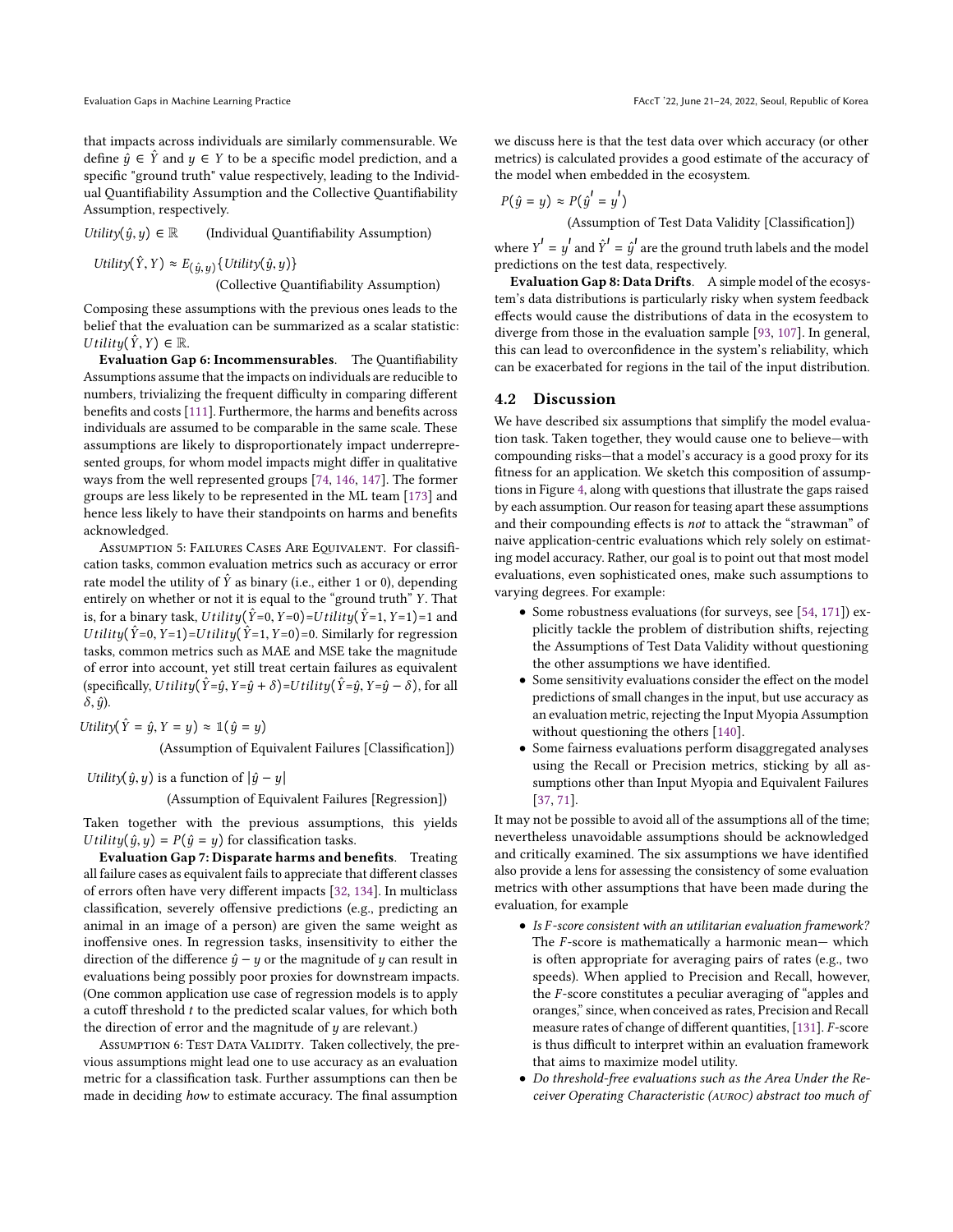that impacts across individuals are similarly commensurable. We define  $\hat{y}$  ∈  $\hat{Y}$  and  $y$  ∈ Y to be a specific model prediction, and a specific "ground truth" value respectively, leading to the Individual Quantifiability Assumption and the Collective Quantifiability Assumption, respectively.

Utility $(\hat{y}, y) \in \mathbb{R}$  (Individual Quantifiability Assumption)

Utility $(\hat{Y}, Y) \approx E_{(\hat{y}, y)} \{Utility(\hat{y}, y)\}$ 

(Collective Quantifiability Assumption)

Composing these assumptions with the previous ones leads to the belief that the evaluation can be summarized as a scalar statistic: U tility $(\hat{Y}, Y) \in \mathbb{R}$ .

Evaluation Gap 6: Incommensurables. The Quantifiability Assumptions assume that the impacts on individuals are reducible to numbers, trivializing the frequent difficulty in comparing different benefits and costs [\[111\]](#page-12-29). Furthermore, the harms and benefits across individuals are assumed to be comparable in the same scale. These assumptions are likely to disproportionately impact underrepresented groups, for whom model impacts might differ in qualitative ways from the well represented groups [\[74,](#page-11-31) [146,](#page-12-27) [147\]](#page-13-20). The former groups are less likely to be represented in the ML team [\[173\]](#page-13-21) and hence less likely to have their standpoints on harms and benefits acknowledged.

ASSUMPTION 5: FAILURES CASES ARE EQUIVALENT. For classification tasks, common evaluation metrics such as accuracy or error rate model the utility of  $\hat{Y}$  as binary (i.e., either 1 or 0), depending entirely on whether or not it is equal to the "ground truth" Y. That is, for a binary task, U tility( $\hat{Y}=0$ ,  $Y=0$ )=U tility( $\hat{Y}=1$ ,  $Y=1$ )=1 and U tility( $\hat{Y}=0, Y=1$ )=U tility( $\hat{Y}=1, Y=0$ )=0. Similarly for regression tasks, common metrics such as MAE and MSE take the magnitude of error into account, yet still treat certain failures as equivalent (specifically, U tility( $\hat{Y}=\hat{y}$ ,  $Y=\hat{y}+\delta$ )=U tility( $\hat{Y}=\hat{y}$ ,  $Y=\hat{y}-\delta$ ), for all  $\delta$ ,  $\hat{y}$ ).

Utility $(\hat{Y} = \hat{y}, Y = y) \approx \mathbb{1}(\hat{y} = y)$ 

(Assumption of Equivalent Failures [Classification])

Utility $(\hat{y}, y)$  is a function of  $|\hat{y} - y|$ 

(Assumption of Equivalent Failures [Regression])

Taken together with the previous assumptions, this yields U tility $(\hat{y}, y) = P(\hat{y} = y)$  for classification tasks.

Evaluation Gap 7: Disparate harms and benefits. Treating all failure cases as equivalent fails to appreciate that different classes of errors often have very different impacts [\[32,](#page-10-36) [134\]](#page-12-30). In multiclass classification, severely offensive predictions (e.g., predicting an animal in an image of a person) are given the same weight as inoffensive ones. In regression tasks, insensitivity to either the direction of the difference  $\hat{y} - y$  or the magnitude of y can result in evaluations being possibly poor proxies for downstream impacts. (One common application use case of regression models is to apply a cutoff threshold  $t$  to the predicted scalar values, for which both the direction of error and the magnitude of  $y$  are relevant.)

Assumption 6: TEST DATA VALIDITY. Taken collectively, the previous assumptions might lead one to use accuracy as an evaluation metric for a classification task. Further assumptions can then be made in deciding how to estimate accuracy. The final assumption

we discuss here is that the test data over which accuracy (or other metrics) is calculated provides a good estimate of the accuracy of the model when embedded in the ecosystem.

$$
P(\hat{y} = y) \approx P(\hat{y}' = y')
$$

 $P(\hat{y}' = y')$ <br>(Assumption of Test Data Validity [Classification])

where  $Y' = y'$  and  $\hat{Y}' = \hat{y}'$  are the ground truth labels and the model<br>predictions on the test data respectively. predictions on the test data, respectively.

Evaluation Gap 8: Data Drifts. A simple model of the ecosystem's data distributions is particularly risky when system feedback effects would cause the distributions of data in the ecosystem to diverge from those in the evaluation sample [\[93,](#page-11-32) [107\]](#page-12-31). In general, this can lead to overconfidence in the system's reliability, which can be exacerbated for regions in the tail of the input distribution.

#### 4.2 Discussion

We have described six assumptions that simplify the model evaluation task. Taken together, they would cause one to believe—with compounding risks—that a model's accuracy is a good proxy for its fitness for an application. We sketch this composition of assumptions in Figure [4,](#page-7-0) along with questions that illustrate the gaps raised by each assumption. Our reason for teasing apart these assumptions and their compounding effects is not to attack the "strawman" of naive application-centric evaluations which rely solely on estimating model accuracy. Rather, our goal is to point out that most model evaluations, even sophisticated ones, make such assumptions to varying degrees. For example:

- Some robustness evaluations (for surveys, see [\[54,](#page-11-33) [171\]](#page-13-22)) explicitly tackle the problem of distribution shifts, rejecting the Assumptions of Test Data Validity without questioning the other assumptions we have identified.
- Some sensitivity evaluations consider the effect on the model predictions of small changes in the input, but use accuracy as an evaluation metric, rejecting the Input Myopia Assumption without questioning the others [\[140\]](#page-12-32).
- Some fairness evaluations perform disaggregated analyses using the Recall or Precision metrics, sticking by all assumptions other than Input Myopia and Equivalent Failures [\[37,](#page-10-37) [71\]](#page-11-34).

It may not be possible to avoid all of the assumptions all of the time; nevertheless unavoidable assumptions should be acknowledged and critically examined. The six assumptions we have identified also provide a lens for assessing the consistency of some evaluation metrics with other assumptions that have been made during the evaluation, for example

- Is F -score consistent with an utilitarian evaluation framework? The  $F$ -score is mathematically a harmonic mean— which is often appropriate for averaging pairs of rates (e.g., two speeds). When applied to Precision and Recall, however, the F-score constitutes a peculiar averaging of "apples and oranges," since, when conceived as rates, Precision and Recall measure rates of change of different quantities, [\[131\]](#page-12-33). F-score is thus difficult to interpret within an evaluation framework that aims to maximize model utility.
- Do threshold-free evaluations such as the Area Under the Receiver Operating Characteristic (auroc) abstract too much of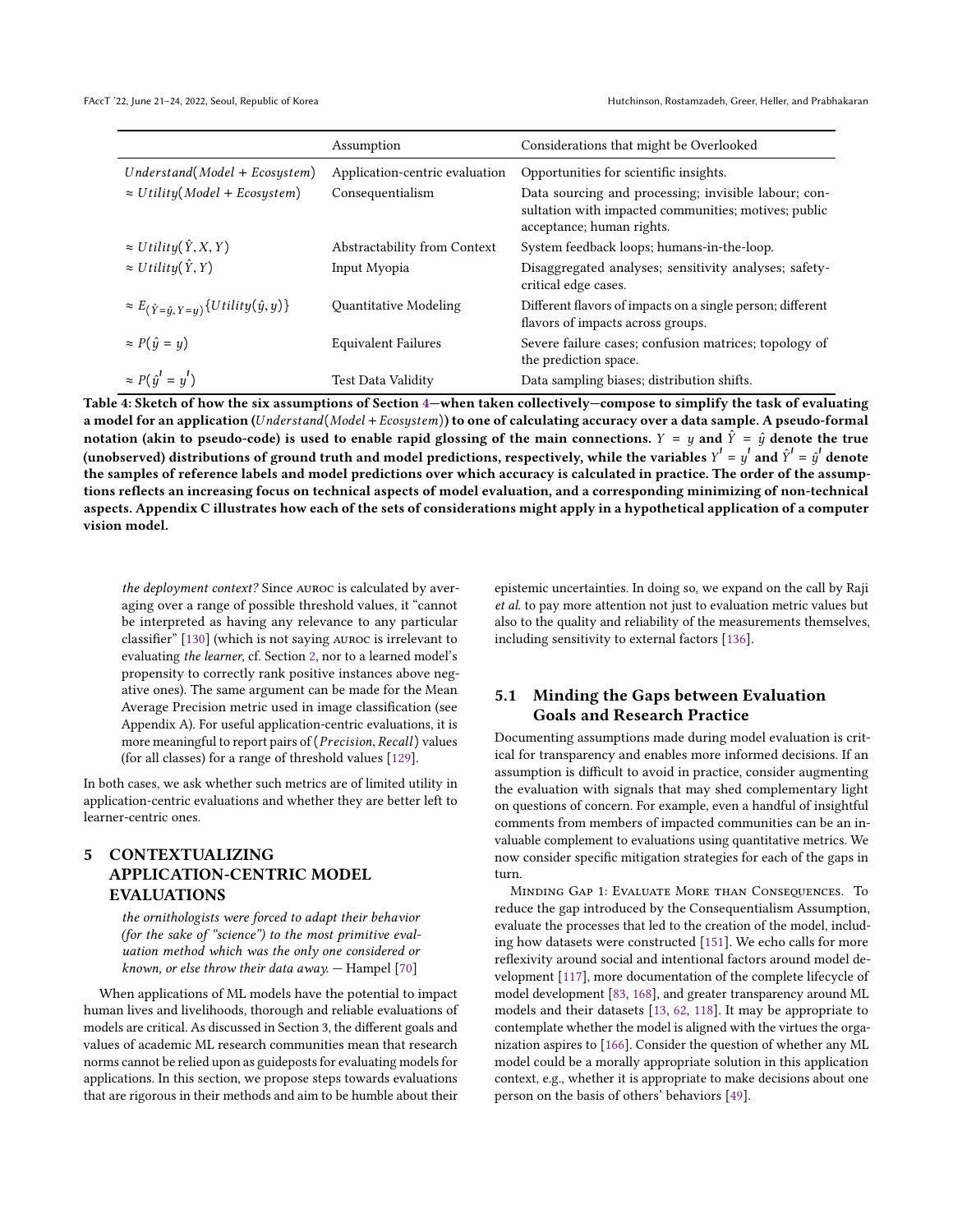FAccT '22, June 21-24, 2022, Seoul, Republic of Korea Hutchinson, Rostamzadeh, Greer, Heller, and Prabhakaran

<span id="page-7-0"></span>

|                                                              | Assumption                     | Considerations that might be Overlooked                                                                                                   |
|--------------------------------------------------------------|--------------------------------|-------------------------------------------------------------------------------------------------------------------------------------------|
| $Understand(Model + Ecosystem)$                              | Application-centric evaluation | Opportunities for scientific insights.                                                                                                    |
| $\approx Utility (Model + Ecosystem)$                        | Consequentialism               | Data sourcing and processing; invisible labour; con-<br>sultation with impacted communities; motives; public<br>acceptance; human rights. |
| $\approx Utility(\hat{Y},X,Y)$                               | Abstractability from Context   | System feedback loops; humans-in-the-loop.                                                                                                |
| $\approx Utility(\hat{Y},Y)$                                 | Input Myopia                   | Disaggregated analyses; sensitivity analyses; safety-<br>critical edge cases.                                                             |
| $\approx E_{(\hat{Y}=\hat{y}, Y=y)}\{Utility(\hat{y}, y)\}\$ | Quantitative Modeling          | Different flavors of impacts on a single person; different<br>flavors of impacts across groups.                                           |
| $\approx P(\hat{y} = y)$                                     | <b>Equivalent Failures</b>     | Severe failure cases; confusion matrices; topology of<br>the prediction space.                                                            |
| $\approx P(\hat{y}' = y')$                                   | <b>Test Data Validity</b>      | Data sampling biases; distribution shifts.                                                                                                |

a model for an application (Understand(Model + Ecosystem)) to one of calculating accuracy over a data sample. A pseudo-formal notation (akin to pseudo-code) is used to enable rapid glossing of the main connections.  $Y = y$  and  $\hat{Y} = \hat{y}$  denote the true (unobserved) distributions of ground truth and model predictions, respectively, while the variables  $Y' = y'$  and  $\hat{Y}' = \hat{y}'$  denote the samples of reference labels and model predictions over which accuracy is calculated in practice. The order of the assumptions reflects an increasing focus on technical aspects of model evaluation, and a corresponding minimizing of non-technical aspects. Appendix C illustrates how each of the sets of considerations might apply in a hypothetical application of a computer vision model.

the deployment context? Since auroc is calculated by averaging over a range of possible threshold values, it "cannot be interpreted as having any relevance to any particular classifier" [\[130\]](#page-12-34) (which is not saying auroc is irrelevant to evaluating the learner, cf. Section [2,](#page-1-1) nor to a learned model's propensity to correctly rank positive instances above negative ones). The same argument can be made for the Mean Average Precision metric used in image classification (see Appendix A). For useful application-centric evaluations, it is more meaningful to report pairs of (Precision, Recall) values (for all classes) for a range of threshold values [\[129\]](#page-12-35).

In both cases, we ask whether such metrics are of limited utility in application-centric evaluations and whether they are better left to learner-centric ones.

# 5 CONTEXTUALIZING APPLICATION-CENTRIC MODEL EVALUATIONS

the ornithologists were forced to adapt their behavior (for the sake of "science") to the most primitive evaluation method which was the only one considered or known, or else throw their data away. — Hampel [\[70\]](#page-11-35)

When applications of ML models have the potential to impact human lives and livelihoods, thorough and reliable evaluations of models are critical. As discussed in Section 3, the different goals and values of academic ML research communities mean that research norms cannot be relied upon as guideposts for evaluating models for applications. In this section, we propose steps towards evaluations that are rigorous in their methods and aim to be humble about their

epistemic uncertainties. In doing so, we expand on the call by Raji et al. to pay more attention not just to evaluation metric values but also to the quality and reliability of the measurements themselves, including sensitivity to external factors [\[136\]](#page-12-2).

## 5.1 Minding the Gaps between Evaluation Goals and Research Practice

Documenting assumptions made during model evaluation is critical for transparency and enables more informed decisions. If an assumption is difficult to avoid in practice, consider augmenting the evaluation with signals that may shed complementary light on questions of concern. For example, even a handful of insightful comments from members of impacted communities can be an invaluable complement to evaluations using quantitative metrics. We now consider specific mitigation strategies for each of the gaps in turn.

MINDING GAP 1: EVALUATE MORE THAN CONSEQUENCES. To reduce the gap introduced by the Consequentialism Assumption, evaluate the processes that led to the creation of the model, including how datasets were constructed [\[151\]](#page-13-23). We echo calls for more reflexivity around social and intentional factors around model development [\[117\]](#page-12-36), more documentation of the complete lifecycle of model development [\[83,](#page-11-36) [168\]](#page-13-24), and greater transparency around ML models and their datasets [\[13,](#page-10-38) [62,](#page-11-37) [118\]](#page-12-7). It may be appropriate to contemplate whether the model is aligned with the virtues the organization aspires to [\[166\]](#page-13-25). Consider the question of whether any ML model could be a morally appropriate solution in this application context, e.g., whether it is appropriate to make decisions about one person on the basis of others' behaviors [\[49\]](#page-11-21).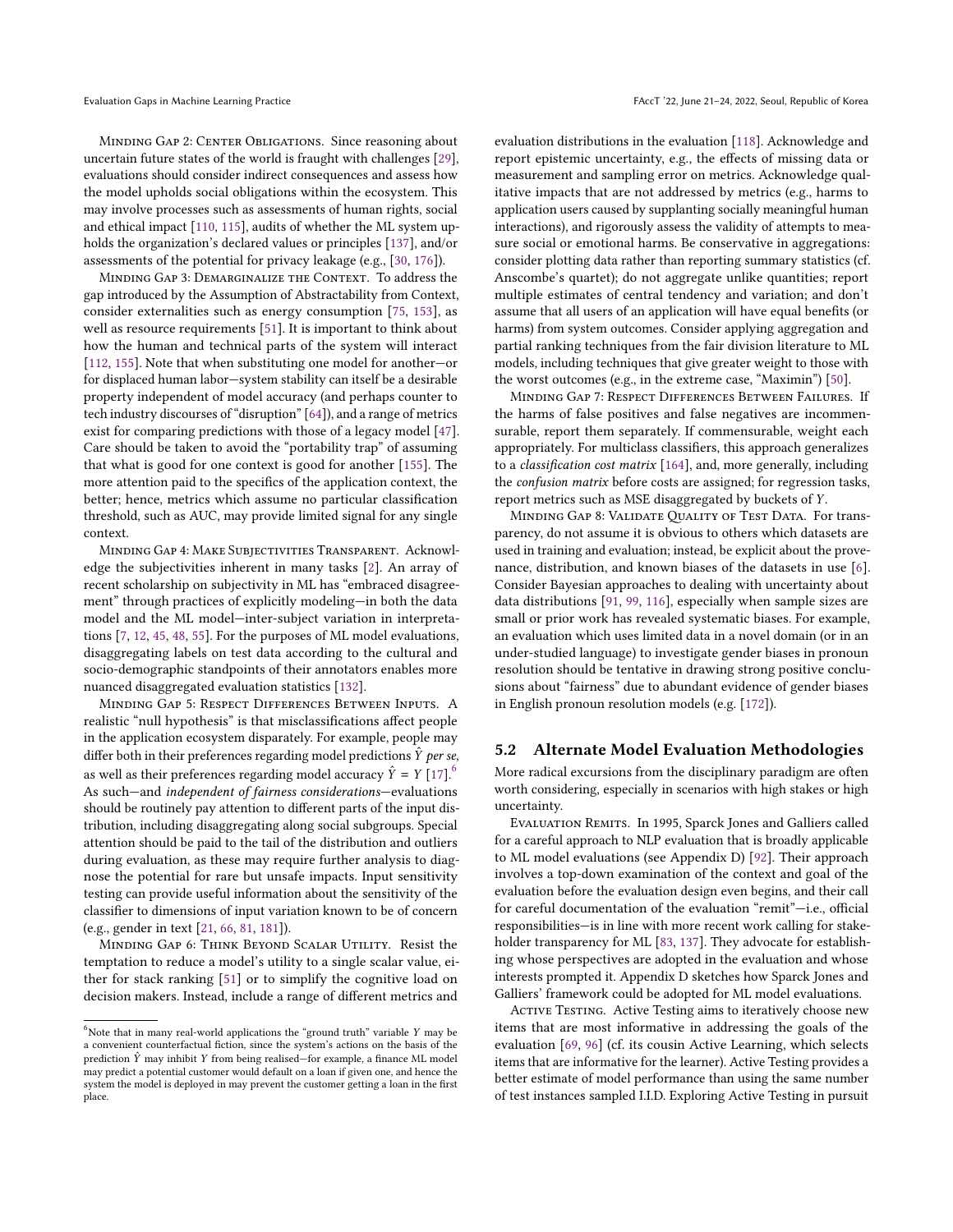Minding Gap 2: Center Obligations. Since reasoning about uncertain future states of the world is fraught with challenges [\[29\]](#page-10-21), evaluations should consider indirect consequences and assess how the model upholds social obligations within the ecosystem. This may involve processes such as assessments of human rights, social and ethical impact [\[110,](#page-12-37) [115\]](#page-12-24), audits of whether the ML system upholds the organization's declared values or principles [\[137\]](#page-12-8), and/or assessments of the potential for privacy leakage (e.g., [\[30,](#page-10-39) [176\]](#page-13-26)).

Minding Gap 3: Demarginalize the Context. To address the gap introduced by the Assumption of Abstractability from Context, consider externalities such as energy consumption [\[75,](#page-11-38) [153\]](#page-13-7), as well as resource requirements [\[51\]](#page-11-0). It is important to think about how the human and technical parts of the system will interact [\[112,](#page-12-26) [155\]](#page-13-18). Note that when substituting one model for another—or for displaced human labor—system stability can itself be a desirable property independent of model accuracy (and perhaps counter to tech industry discourses of "disruption" [\[64\]](#page-11-39)), and a range of metrics exist for comparing predictions with those of a legacy model [\[47\]](#page-10-5). Care should be taken to avoid the "portability trap" of assuming that what is good for one context is good for another [\[155\]](#page-13-18). The more attention paid to the specifics of the application context, the better; hence, metrics which assume no particular classification threshold, such as AUC, may provide limited signal for any single context.

Minding Gap 4: Make Subjectivities Transparent. Acknowledge the subjectivities inherent in many tasks [\[2\]](#page-10-40). An array of recent scholarship on subjectivity in ML has "embraced disagreement" through practices of explicitly modeling—in both the data model and the ML model—inter-subject variation in interpretations [\[7,](#page-10-32) [12,](#page-10-41) [45,](#page-10-42) [48,](#page-10-43) [55\]](#page-11-40). For the purposes of ML model evaluations, disaggregating labels on test data according to the cultural and socio-demographic standpoints of their annotators enables more nuanced disaggregated evaluation statistics [\[132\]](#page-12-38).

Minding Gap 5: Respect Differences Between Inputs. A realistic "null hypothesis" is that misclassifications affect people in the application ecosystem disparately. For example, people may differ both in their preferences regarding model predictions  $\hat{Y}$  per se, as well as their preferences regarding model accuracy  $\hat{Y} = Y [17]$  $\hat{Y} = Y [17]$ .<sup>[6](#page-8-0)</sup> As such—and independent of fairness considerations—evaluations should be routinely pay attention to different parts of the input distribution, including disaggregating along social subgroups. Special attention should be paid to the tail of the distribution and outliers during evaluation, as these may require further analysis to diagnose the potential for rare but unsafe impacts. Input sensitivity testing can provide useful information about the sensitivity of the classifier to dimensions of input variation known to be of concern (e.g., gender in text [\[21,](#page-10-45) [66,](#page-11-41) [81,](#page-11-42) [181\]](#page-13-27)).

Minding Gap 6: Think Beyond Scalar Utility. Resist the temptation to reduce a model's utility to a single scalar value, either for stack ranking [\[51\]](#page-11-0) or to simplify the cognitive load on decision makers. Instead, include a range of different metrics and

evaluation distributions in the evaluation [\[118\]](#page-12-7). Acknowledge and report epistemic uncertainty, e.g., the effects of missing data or measurement and sampling error on metrics. Acknowledge qualitative impacts that are not addressed by metrics (e.g., harms to application users caused by supplanting socially meaningful human interactions), and rigorously assess the validity of attempts to measure social or emotional harms. Be conservative in aggregations: consider plotting data rather than reporting summary statistics (cf. Anscombe's quartet); do not aggregate unlike quantities; report multiple estimates of central tendency and variation; and don't assume that all users of an application will have equal benefits (or harms) from system outcomes. Consider applying aggregation and partial ranking techniques from the fair division literature to ML models, including techniques that give greater weight to those with the worst outcomes (e.g., in the extreme case, "Maximin") [\[50\]](#page-11-43).

Minding Gap 7: Respect Differences Between Failures. If the harms of false positives and false negatives are incommensurable, report them separately. If commensurable, weight each appropriately. For multiclass classifiers, this approach generalizes to a classification cost matrix [\[164\]](#page-13-28), and, more generally, including the confusion matrix before costs are assigned; for regression tasks, report metrics such as MSE disaggregated by buckets of Y.

MINDING GAP 8: VALIDATE QUALITY OF TEST DATA. For transparency, do not assume it is obvious to others which datasets are used in training and evaluation; instead, be explicit about the provenance, distribution, and known biases of the datasets in use [\[6\]](#page-10-33). Consider Bayesian approaches to dealing with uncertainty about data distributions [\[91,](#page-11-44) [99,](#page-11-45) [116\]](#page-12-39), especially when sample sizes are small or prior work has revealed systematic biases. For example, an evaluation which uses limited data in a novel domain (or in an under-studied language) to investigate gender biases in pronoun resolution should be tentative in drawing strong positive conclusions about "fairness" due to abundant evidence of gender biases in English pronoun resolution models (e.g. [\[172\]](#page-13-29)).

#### 5.2 Alternate Model Evaluation Methodologies

More radical excursions from the disciplinary paradigm are often worth considering, especially in scenarios with high stakes or high uncertainty.

Evaluation Remits. In 1995, Sparck Jones and Galliers called for a careful approach to NLP evaluation that is broadly applicable to ML model evaluations (see Appendix D) [\[92\]](#page-11-7). Their approach involves a top-down examination of the context and goal of the evaluation before the evaluation design even begins, and their call for careful documentation of the evaluation "remit"—i.e., official responsibilities—is in line with more recent work calling for stakeholder transparency for ML [\[83,](#page-11-36) [137\]](#page-12-8). They advocate for establishing whose perspectives are adopted in the evaluation and whose interests prompted it. Appendix D sketches how Sparck Jones and Galliers' framework could be adopted for ML model evaluations.

ACTIVE TESTING. Active Testing aims to iteratively choose new items that are most informative in addressing the goals of the evaluation [\[69,](#page-11-46) [96\]](#page-11-47) (cf. its cousin Active Learning, which selects items that are informative for the learner). Active Testing provides a better estimate of model performance than using the same number of test instances sampled I.I.D. Exploring Active Testing in pursuit

<span id="page-8-0"></span> $^6$ Note that in many real-world applications the "ground truth" variable Y may be a convenient counterfactual fiction, since the system's actions on the basis of the prediction  $\hat{Y}$  may inhibit Y from being realised—for example, a finance ML model may predict a potential customer would default on a loan if given one, and hence the system the model is deployed in may prevent the customer getting a loan in the first place.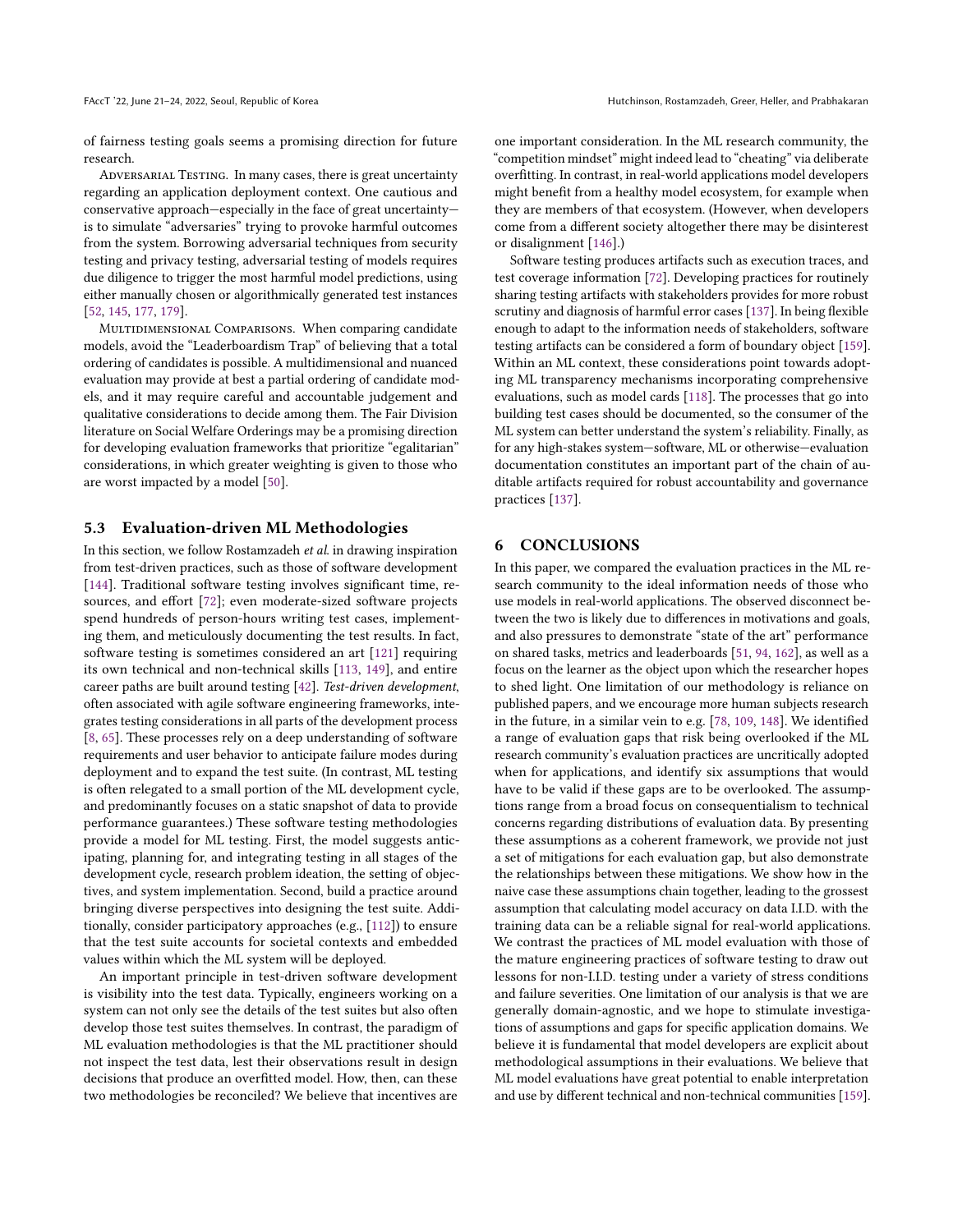of fairness testing goals seems a promising direction for future research.

Adversarial Testing. In many cases, there is great uncertainty regarding an application deployment context. One cautious and conservative approach—especially in the face of great uncertainty is to simulate "adversaries" trying to provoke harmful outcomes from the system. Borrowing adversarial techniques from security testing and privacy testing, adversarial testing of models requires due diligence to trigger the most harmful model predictions, using either manually chosen or algorithmically generated test instances [\[52,](#page-11-48) [145,](#page-12-40) [177,](#page-13-30) [179\]](#page-13-31).

MULTIDIMENSIONAL COMPARISONS. When comparing candidate models, avoid the "Leaderboardism Trap" of believing that a total ordering of candidates is possible. A multidimensional and nuanced evaluation may provide at best a partial ordering of candidate models, and it may require careful and accountable judgement and qualitative considerations to decide among them. The Fair Division literature on Social Welfare Orderings may be a promising direction for developing evaluation frameworks that prioritize "egalitarian" considerations, in which greater weighting is given to those who are worst impacted by a model [\[50\]](#page-11-43).

#### 5.3 Evaluation-driven ML Methodologies

In this section, we follow Rostamzadeh et al. in drawing inspiration from test-driven practices, such as those of software development [\[144\]](#page-12-41). Traditional software testing involves significant time, resources, and effort [\[72\]](#page-11-49); even moderate-sized software projects spend hundreds of person-hours writing test cases, implementing them, and meticulously documenting the test results. In fact, software testing is sometimes considered an art [\[121\]](#page-12-42) requiring its own technical and non-technical skills [\[113,](#page-12-43) [149\]](#page-13-32), and entire career paths are built around testing [\[42\]](#page-10-46). Test-driven development, often associated with agile software engineering frameworks, integrates testing considerations in all parts of the development process [\[8,](#page-10-47) [65\]](#page-11-50). These processes rely on a deep understanding of software requirements and user behavior to anticipate failure modes during deployment and to expand the test suite. (In contrast, ML testing is often relegated to a small portion of the ML development cycle, and predominantly focuses on a static snapshot of data to provide performance guarantees.) These software testing methodologies provide a model for ML testing. First, the model suggests anticipating, planning for, and integrating testing in all stages of the development cycle, research problem ideation, the setting of objectives, and system implementation. Second, build a practice around bringing diverse perspectives into designing the test suite. Additionally, consider participatory approaches (e.g., [\[112\]](#page-12-26)) to ensure that the test suite accounts for societal contexts and embedded values within which the ML system will be deployed.

An important principle in test-driven software development is visibility into the test data. Typically, engineers working on a system can not only see the details of the test suites but also often develop those test suites themselves. In contrast, the paradigm of ML evaluation methodologies is that the ML practitioner should not inspect the test data, lest their observations result in design decisions that produce an overfitted model. How, then, can these two methodologies be reconciled? We believe that incentives are

one important consideration. In the ML research community, the "competition mindset" might indeed lead to "cheating" via deliberate overfitting. In contrast, in real-world applications model developers might benefit from a healthy model ecosystem, for example when they are members of that ecosystem. (However, when developers come from a different society altogether there may be disinterest or disalignment [\[146\]](#page-12-27).)

Software testing produces artifacts such as execution traces, and test coverage information [\[72\]](#page-11-49). Developing practices for routinely sharing testing artifacts with stakeholders provides for more robust scrutiny and diagnosis of harmful error cases [\[137\]](#page-12-8). In being flexible enough to adapt to the information needs of stakeholders, software testing artifacts can be considered a form of boundary object [\[159\]](#page-13-33). Within an ML context, these considerations point towards adopting ML transparency mechanisms incorporating comprehensive evaluations, such as model cards [\[118\]](#page-12-7). The processes that go into building test cases should be documented, so the consumer of the ML system can better understand the system's reliability. Finally, as for any high-stakes system—software, ML or otherwise—evaluation documentation constitutes an important part of the chain of auditable artifacts required for robust accountability and governance practices [\[137\]](#page-12-8).

#### 6 CONCLUSIONS

In this paper, we compared the evaluation practices in the ML research community to the ideal information needs of those who use models in real-world applications. The observed disconnect between the two is likely due to differences in motivations and goals, and also pressures to demonstrate "state of the art" performance on shared tasks, metrics and leaderboards [\[51,](#page-11-0) [94,](#page-11-1) [162\]](#page-13-1), as well as a focus on the learner as the object upon which the researcher hopes to shed light. One limitation of our methodology is reliance on published papers, and we encourage more human subjects research in the future, in a similar vein to e.g. [\[78,](#page-11-6) [109,](#page-12-44) [148\]](#page-13-11). We identified a range of evaluation gaps that risk being overlooked if the ML research community's evaluation practices are uncritically adopted when for applications, and identify six assumptions that would have to be valid if these gaps are to be overlooked. The assumptions range from a broad focus on consequentialism to technical concerns regarding distributions of evaluation data. By presenting these assumptions as a coherent framework, we provide not just a set of mitigations for each evaluation gap, but also demonstrate the relationships between these mitigations. We show how in the naive case these assumptions chain together, leading to the grossest assumption that calculating model accuracy on data I.I.D. with the training data can be a reliable signal for real-world applications. We contrast the practices of ML model evaluation with those of the mature engineering practices of software testing to draw out lessons for non-I.I.D. testing under a variety of stress conditions and failure severities. One limitation of our analysis is that we are generally domain-agnostic, and we hope to stimulate investigations of assumptions and gaps for specific application domains. We believe it is fundamental that model developers are explicit about methodological assumptions in their evaluations. We believe that ML model evaluations have great potential to enable interpretation and use by different technical and non-technical communities [\[159\]](#page-13-33).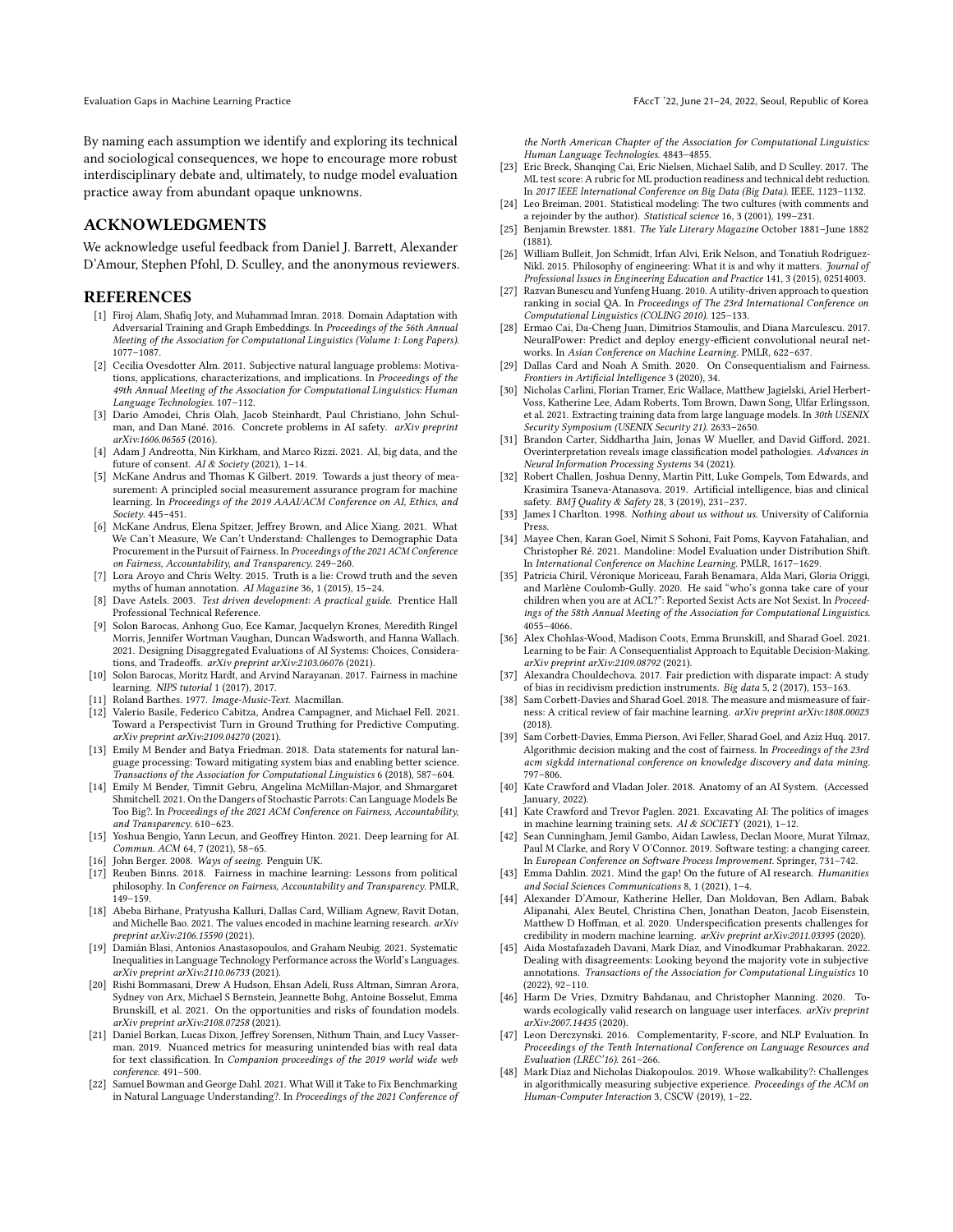By naming each assumption we identify and exploring its technical and sociological consequences, we hope to encourage more robust interdisciplinary debate and, ultimately, to nudge model evaluation practice away from abundant opaque unknowns.

#### ACKNOWLEDGMENTS

We acknowledge useful feedback from Daniel J. Barrett, Alexander D'Amour, Stephen Pfohl, D. Sculley, and the anonymous reviewers.

#### **REFERENCES**

- <span id="page-10-14"></span>[1] Firoj Alam, Shafiq Joty, and Muhammad Imran. 2018. Domain Adaptation with Adversarial Training and Graph Embeddings. In Proceedings of the 56th Annual Meeting of the Association for Computational Linguistics (Volume 1: Long Papers). 1077–1087.
- <span id="page-10-40"></span>[2] Cecilia Ovesdotter Alm. 2011. Subjective natural language problems: Motivations, applications, characterizations, and implications. In Proceedings of the 49th Annual Meeting of the Association for Computational Linguistics: Human Language Technologies. 107–112.
- <span id="page-10-35"></span>[3] Dario Amodei, Chris Olah, Jacob Steinhardt, Paul Christiano, John Schulman, and Dan Mané. 2016. Concrete problems in AI safety. arXiv preprint arXiv:1606.06565 (2016).
- <span id="page-10-25"></span>[4] Adam J Andreotta, Nin Kirkham, and Marco Rizzi. 2021. AI, big data, and the future of consent. AI & Society (2021), 1–14.
- <span id="page-10-8"></span>[5] McKane Andrus and Thomas K Gilbert. 2019. Towards a just theory of measurement: A principled social measurement assurance program for machine learning. In Proceedings of the 2019 AAAI/ACM Conference on AI, Ethics, and Society. 445–451.
- <span id="page-10-33"></span>[6] McKane Andrus, Elena Spitzer, Jeffrey Brown, and Alice Xiang. 2021. What We Can't Measure, We Can't Understand: Challenges to Demographic Data Procurement in the Pursuit of Fairness. In Proceedings of the 2021 ACM Conference on Fairness, Accountability, and Transparency. 249–260.
- <span id="page-10-32"></span>[7] Lora Aroyo and Chris Welty. 2015. Truth is a lie: Crowd truth and the seven myths of human annotation. AI Magazine 36, 1 (2015), 15–24.
- <span id="page-10-47"></span>[8] Dave Astels. 2003. Test driven development: A practical guide. Prentice Hall Professional Technical Reference.
- <span id="page-10-34"></span>[9] Solon Barocas, Anhong Guo, Ece Kamar, Jacquelyn Krones, Meredith Ringel Morris, Jennifer Wortman Vaughan, Duncan Wadsworth, and Hanna Wallach. 2021. Designing Disaggregated Evaluations of AI Systems: Choices, Considerations, and Tradeoffs. arXiv preprint arXiv:2103.06076 (2021).
- <span id="page-10-28"></span>[10] Solon Barocas, Moritz Hardt, and Arvind Narayanan. 2017. Fairness in machine learning. NIPS tutorial 1 (2017), 2017.
- <span id="page-10-30"></span>[11] Roland Barthes. 1977. Image-Music-Text. Macmillan.
- <span id="page-10-41"></span>[12] Valerio Basile, Federico Cabitza, Andrea Campagner, and Michael Fell. 2021. Toward a Perspectivist Turn in Ground Truthing for Predictive Computing. arXiv preprint arXiv:2109.04270 (2021).
- <span id="page-10-38"></span>[13] Emily M Bender and Batya Friedman. 2018. Data statements for natural language processing: Toward mitigating system bias and enabling better science. Transactions of the Association for Computational Linguistics 6 (2018), 587–604.
- <span id="page-10-16"></span>[14] Emily M Bender, Timnit Gebru, Angelina McMillan-Major, and Shmargaret Shmitchell. 2021. On the Dangers of Stochastic Parrots: Can Language Models Be Too Big?. In Proceedings of the 2021 ACM Conference on Fairness, Accountability, and Transparency. 610–623.
- <span id="page-10-17"></span>[15] Yoshua Bengio, Yann Lecun, and Geoffrey Hinton. 2021. Deep learning for AI. Commun. ACM 64, 7 (2021), 58–65.
- <span id="page-10-31"></span>[16] John Berger. 2008. Ways of seeing. Penguin UK.
- <span id="page-10-44"></span>[17] Reuben Binns. 2018. Fairness in machine learning: Lessons from political philosophy. In Conference on Fairness, Accountability and Transparency. PMLR, 149–159.
- <span id="page-10-2"></span>[18] Abeba Birhane, Pratyusha Kalluri, Dallas Card, William Agnew, Ravit Dotan, and Michelle Bao. 2021. The values encoded in machine learning research. arXiv preprint arXiv:2106.15590 (2021).
- <span id="page-10-19"></span>[19] Damián Blasi, Antonios Anastasopoulos, and Graham Neubig. 2021. Systematic Inequalities in Language Technology Performance across the World's Languages. arXiv preprint arXiv:2110.06733 (2021).
- <span id="page-10-13"></span>[20] Rishi Bommasani, Drew A Hudson, Ehsan Adeli, Russ Altman, Simran Arora, Sydney von Arx, Michael S Bernstein, Jeannette Bohg, Antoine Bosselut, Emma Brunskill, et al. 2021. On the opportunities and risks of foundation models. arXiv preprint arXiv:2108.07258 (2021).
- <span id="page-10-45"></span>[21] Daniel Borkan, Lucas Dixon, Jeffrey Sorensen, Nithum Thain, and Lucy Vasserman. 2019. Nuanced metrics for measuring unintended bias with real data for text classification. In Companion proceedings of the 2019 world wide web conference. 491–500.
- <span id="page-10-1"></span>[22] Samuel Bowman and George Dahl. 2021. What Will it Take to Fix Benchmarking in Natural Language Understanding?. In Proceedings of the 2021 Conference of

the North American Chapter of the Association for Computational Linguistics: Human Language Technologies. 4843–4855.

- <span id="page-10-7"></span>[23] Eric Breck, Shanqing Cai, Eric Nielsen, Michael Salib, and D Sculley. 2017. The ML test score: A rubric for ML production readiness and technical debt reduction. In 2017 IEEE International Conference on Big Data (Big Data). IEEE, 1123–1132.
- <span id="page-10-10"></span>[24] Leo Breiman. 2001. Statistical modeling: The two cultures (with comments and a rejoinder by the author). Statistical science 16, 3 (2001), 199–231.
- <span id="page-10-18"></span>[25] Benjamin Brewster. 1881. The Yale Literary Magazine October 1881–June 1882 (1881).
- <span id="page-10-11"></span>[26] William Bulleit, Jon Schmidt, Irfan Alvi, Erik Nelson, and Tonatiuh Rodriguez-Nikl. 2015. Philosophy of engineering: What it is and why it matters. Journal of Professional Issues in Engineering Education and Practice 141, 3 (2015), 02514003.
- <span id="page-10-20"></span>[27] Razvan Bunescu and Yunfeng Huang. 2010. A utility-driven approach to question ranking in social QA. In Proceedings of The 23rd International Conference on Computational Linguistics (COLING 2010). 125–133.
- <span id="page-10-29"></span>[28] Ermao Cai, Da-Cheng Juan, Dimitrios Stamoulis, and Diana Marculescu. 2017. NeuralPower: Predict and deploy energy-efficient convolutional neural networks. In Asian Conference on Machine Learning. PMLR, 622–637.
- <span id="page-10-21"></span>[29] Dallas Card and Noah A Smith. 2020. On Consequentialism and Fairness. Frontiers in Artificial Intelligence 3 (2020), 34.
- <span id="page-10-39"></span>[30] Nicholas Carlini, Florian Tramer, Eric Wallace, Matthew Jagielski, Ariel Herbert-Voss, Katherine Lee, Adam Roberts, Tom Brown, Dawn Song, Ulfar Erlingsson, et al. 2021. Extracting training data from large language models. In 30th USENIX Security Symposium (USENIX Security 21). 2633–2650.
- <span id="page-10-0"></span>[31] Brandon Carter, Siddhartha Jain, Jonas W Mueller, and David Gifford. 2021. Overinterpretation reveals image classification model pathologies. Advances in Neural Information Processing Systems 34 (2021).
- <span id="page-10-36"></span>[32] Robert Challen, Joshua Denny, Martin Pitt, Luke Gompels, Tom Edwards, and Krasimira Tsaneva-Atanasova. 2019. Artificial intelligence, bias and clinical safety. BMJ Quality & Safety 28, 3 (2019), 231-237.
- <span id="page-10-27"></span>[33] James I Charlton. 1998. Nothing about us without us. University of California Press.
- <span id="page-10-4"></span>[34] Mayee Chen, Karan Goel, Nimit S Sohoni, Fait Poms, Kayvon Fatahalian, and Christopher Ré. 2021. Mandoline: Model Evaluation under Distribution Shift. In International Conference on Machine Learning. PMLR, 1617–1629.
- <span id="page-10-15"></span>[35] Patricia Chiril, Véronique Moriceau, Farah Benamara, Alda Mari, Gloria Origgi, and Marlène Coulomb-Gully. 2020. He said "who's gonna take care of your children when you are at ACL?": Reported Sexist Acts are Not Sexist. In Proceedings of the 58th Annual Meeting of the Association for Computational Linguistics. 4055–4066.
- <span id="page-10-22"></span>[36] Alex Chohlas-Wood, Madison Coots, Emma Brunskill, and Sharad Goel. 2021. Learning to be Fair: A Consequentialist Approach to Equitable Decision-Making. arXiv preprint arXiv:2109.08792 (2021).
- <span id="page-10-37"></span>[37] Alexandra Chouldechova. 2017. Fair prediction with disparate impact: A study of bias in recidivism prediction instruments. Big data 5, 2 (2017), 153–163.
- <span id="page-10-23"></span>[38] Sam Corbett-Davies and Sharad Goel. 2018. The measure and mismeasure of fairness: A critical review of fair machine learning. arXiv preprint arXiv:1808.00023 (2018).
- <span id="page-10-24"></span>[39] Sam Corbett-Davies, Emma Pierson, Avi Feller, Sharad Goel, and Aziz Huq. 2017. Algorithmic decision making and the cost of fairness. In Proceedings of the 23rd acm sigkdd international conference on knowledge discovery and data mining. 797–806.
- <span id="page-10-26"></span>[40] Kate Crawford and Vladan Joler. 2018. Anatomy of an AI System. (Accessed January, 2022).
- <span id="page-10-12"></span>[41] Kate Crawford and Trevor Paglen. 2021. Excavating AI: The politics of images in machine learning training sets. AI & SOCIETY (2021), 1–12.
- <span id="page-10-46"></span>[42] Sean Cunningham, Jemil Gambo, Aidan Lawless, Declan Moore, Murat Yilmaz, Paul M Clarke, and Rory V O'Connor. 2019. Software testing: a changing career. In European Conference on Software Process Improvement. Springer, 731–742.
- <span id="page-10-3"></span>[43] Emma Dahlin. 2021. Mind the gap! On the future of AI research. Humanities and Social Sciences Communications 8, 1 (2021), 1–4.
- <span id="page-10-6"></span>[44] Alexander D'Amour, Katherine Heller, Dan Moldovan, Ben Adlam, Babak Alipanahi, Alex Beutel, Christina Chen, Jonathan Deaton, Jacob Eisenstein, Matthew D Hoffman, et al. 2020. Underspecification presents challenges for credibility in modern machine learning. arXiv preprint arXiv:2011.03395 (2020).
- <span id="page-10-42"></span>[45] Aida Mostafazadeh Davani, Mark Díaz, and Vinodkumar Prabhakaran. 2022. Dealing with disagreements: Looking beyond the majority vote in subjective annotations. Transactions of the Association for Computational Linguistics 10 (2022), 92–110.
- <span id="page-10-9"></span>[46] Harm De Vries, Dzmitry Bahdanau, and Christopher Manning. 2020. Towards ecologically valid research on language user interfaces. arXiv preprint arXiv:2007.14435 (2020).
- <span id="page-10-5"></span>[47] Leon Derczynski. 2016. Complementarity, F-score, and NLP Evaluation. In Proceedings of the Tenth International Conference on Language Resources and Evaluation (LREC'16). 261–266.
- <span id="page-10-43"></span>[48] Mark Díaz and Nicholas Diakopoulos. 2019. Whose walkability?: Challenges in algorithmically measuring subjective experience. Proceedings of the ACM on Human-Computer Interaction 3, CSCW (2019), 1–22.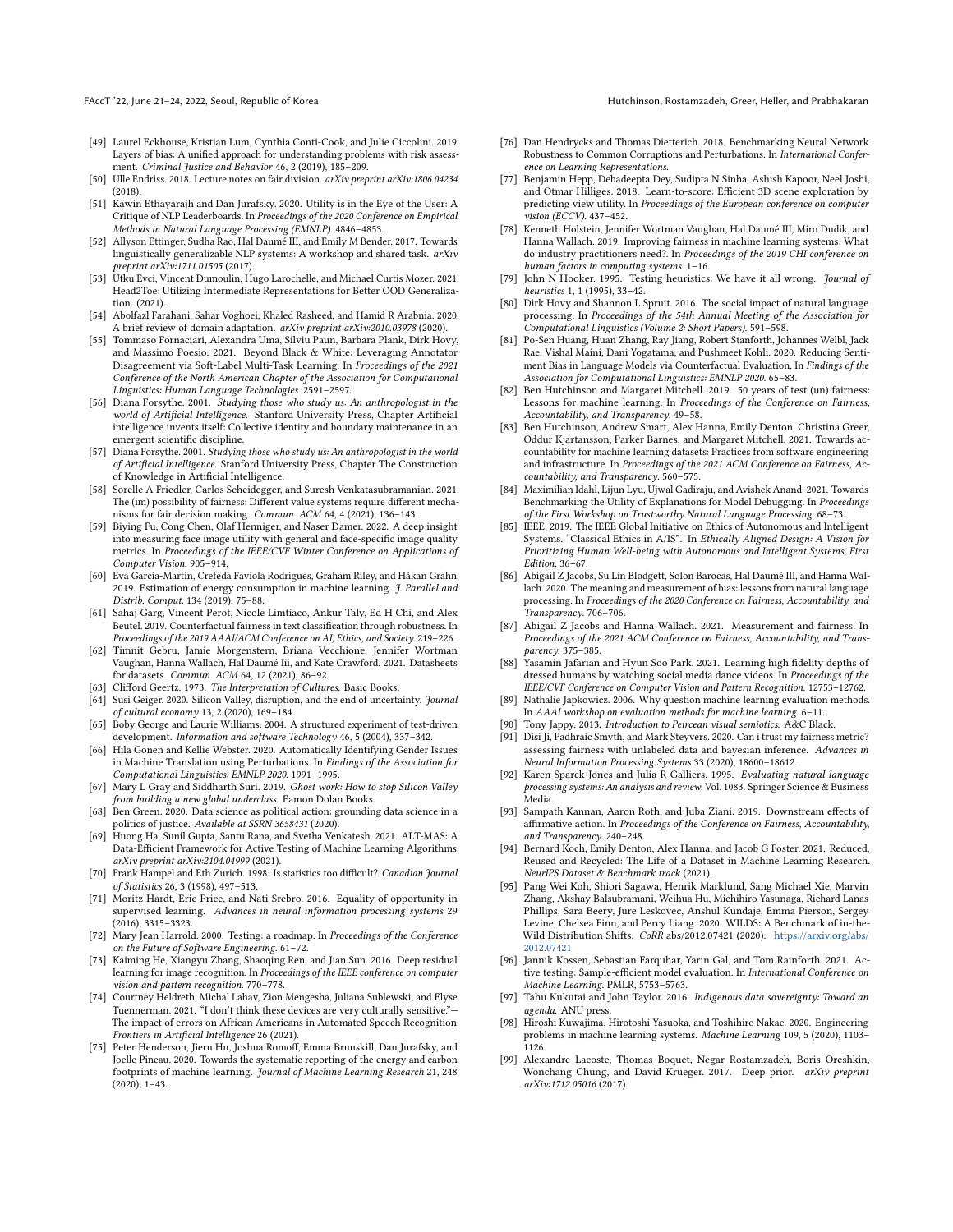- <span id="page-11-21"></span>[49] Laurel Eckhouse, Kristian Lum, Cynthia Conti-Cook, and Julie Ciccolini. 2019. Layers of bias: A unified approach for understanding problems with risk assessment. Criminal Justice and Behavior 46, 2 (2019), 185–209.
- <span id="page-11-43"></span>[50] Ulle Endriss. 2018. Lecture notes on fair division. arXiv preprint arXiv:1806.04234 (2018).
- <span id="page-11-0"></span>[51] Kawin Ethayarajh and Dan Jurafsky. 2020. Utility is in the Eye of the User: A Critique of NLP Leaderboards. In Proceedings of the 2020 Conference on Empirical Methods in Natural Language Processing (EMNLP). 4846–4853.
- <span id="page-11-48"></span>[52] Allyson Ettinger, Sudha Rao, Hal Daumé III, and Emily M Bender. 2017. Towards linguistically generalizable NLP systems: A workshop and shared task. arXiv preprint arXiv:1711.01505 (2017).
- <span id="page-11-16"></span>[53] Utku Evci, Vincent Dumoulin, Hugo Larochelle, and Michael Curtis Mozer. 2021. Head2Toe: Utilizing Intermediate Representations for Better OOD Generalization. (2021).
- <span id="page-11-33"></span>[54] Abolfazl Farahani, Sahar Voghoei, Khaled Rasheed, and Hamid R Arabnia. 2020. A brief review of domain adaptation. arXiv preprint arXiv:2010.03978 (2020).
- <span id="page-11-40"></span>[55] Tommaso Fornaciari, Alexandra Uma, Silviu Paun, Barbara Plank, Dirk Hovy, and Massimo Poesio. 2021. Beyond Black & White: Leveraging Annotator Disagreement via Soft-Label Multi-Task Learning. In Proceedings of the 2021 Conference of the North American Chapter of the Association for Computational Linguistics: Human Language Technologies. 2591–2597.
- <span id="page-11-8"></span>[56] Diana Forsythe. 2001. Studying those who study us: An anthropologist in the world of Artificial Intelligence. Stanford University Press, Chapter Artificial intelligence invents itself: Collective identity and boundary maintenance in an emergent scientific discipline.
- <span id="page-11-27"></span>[57] Diana Forsythe. 2001. Studying those who study us: An anthropologist in the world of Artificial Intelligence. Stanford University Press, Chapter The Construction of Knowledge in Artificial Intelligence.
- <span id="page-11-30"></span>[58] Sorelle A Friedler, Carlos Scheidegger, and Suresh Venkatasubramanian. 2021. The (im) possibility of fairness: Different value systems require different mechanisms for fair decision making. Commun. ACM 64, 4 (2021), 136–143.
- <span id="page-11-17"></span>[59] Biying Fu, Cong Chen, Olaf Henniger, and Naser Damer. 2022. A deep insight into measuring face image utility with general and face-specific image quality metrics. In Proceedings of the IEEE/CVF Winter Conference on Applications of Computer Vision. 905–914.
- <span id="page-11-26"></span>[60] Eva García-Martín, Crefeda Faviola Rodrigues, Graham Riley, and Håkan Grahn. 2019. Estimation of energy consumption in machine learning. *J. Parallel and* Distrib. Comput. 134 (2019), 75–88.
- <span id="page-11-13"></span>[61] Sahaj Garg, Vincent Perot, Nicole Limtiaco, Ankur Taly, Ed H Chi, and Alex Beutel. 2019. Counterfactual fairness in text classification through robustness. In Proceedings of the 2019 AAAI/ACM Conference on AI, Ethics, and Society. 219–226.
- <span id="page-11-37"></span>[62] Timnit Gebru, Jamie Morgenstern, Briana Vecchione, Jennifer Wortman Vaughan, Hanna Wallach, Hal Daumé Iii, and Kate Crawford. 2021. Datasheets for datasets. Commun. ACM 64, 12 (2021), 86–92.
- <span id="page-11-28"></span>[63] Clifford Geertz. 1973. The Interpretation of Cultures. Basic Books.
- <span id="page-11-39"></span>[64] Susi Geiger. 2020. Silicon Valley, disruption, and the end of uncertainty. Journal of cultural economy 13, 2 (2020), 169–184.
- <span id="page-11-50"></span>[65] Boby George and Laurie Williams. 2004. A structured experiment of test-driven development. Information and software Technology 46, 5 (2004), 337–342.
- <span id="page-11-41"></span>[66] Hila Gonen and Kellie Webster. 2020. Automatically Identifying Gender Issues in Machine Translation using Perturbations. In Findings of the Association for Computational Linguistics: EMNLP 2020. 1991–1995.
- <span id="page-11-25"></span>[67] Mary L Gray and Siddharth Suri. 2019. Ghost work: How to stop Silicon Valley from building a new global underclass. Eamon Dolan Books.
- <span id="page-11-22"></span>[68] Ben Green. 2020. Data science as political action: grounding data science in a politics of justice. Available at SSRN 3658431 (2020).
- <span id="page-11-46"></span>[69] Huong Ha, Sunil Gupta, Santu Rana, and Svetha Venkatesh. 2021. ALT-MAS: A Data-Efficient Framework for Active Testing of Machine Learning Algorithms. arXiv preprint arXiv:2104.04999 (2021).
- <span id="page-11-35"></span>[70] Frank Hampel and Eth Zurich. 1998. Is statistics too difficult? Canadian Journal of Statistics 26, 3 (1998), 497–513.
- <span id="page-11-34"></span>[71] Moritz Hardt, Eric Price, and Nati Srebro. 2016. Equality of opportunity in supervised learning. Advances in neural information processing systems 29 (2016), 3315–3323.
- <span id="page-11-49"></span>[72] Mary Jean Harrold. 2000. Testing: a roadmap. In Proceedings of the Conference on the Future of Software Engineering. 61–72.
- <span id="page-11-15"></span>[73] Kaiming He, Xiangyu Zhang, Shaoqing Ren, and Jian Sun. 2016. Deep residual learning for image recognition. In Proceedings of the IEEE conference on computer vision and pattern recognition. 770–778.
- <span id="page-11-31"></span>[74] Courtney Heldreth, Michal Lahav, Zion Mengesha, Juliana Sublewski, and Elyse Tuennerman. 2021. "I don't think these devices are very culturally sensitive." The impact of errors on African Americans in Automated Speech Recognition. Frontiers in Artificial Intelligence 26 (2021).
- <span id="page-11-38"></span>[75] Peter Henderson, Jieru Hu, Joshua Romoff, Emma Brunskill, Dan Jurafsky, and Joelle Pineau. 2020. Towards the systematic reporting of the energy and carbon footprints of machine learning. Journal of Machine Learning Research 21, 248 (2020), 1–43.
- <span id="page-11-3"></span>[76] Dan Hendrycks and Thomas Dietterich. 2018. Benchmarking Neural Network Robustness to Common Corruptions and Perturbations. In International Conference on Learning Representations.
- <span id="page-11-18"></span>[77] Benjamin Hepp, Debadeepta Dey, Sudipta N Sinha, Ashish Kapoor, Neel Joshi, and Otmar Hilliges. 2018. Learn-to-score: Efficient 3D scene exploration by predicting view utility. In Proceedings of the European conference on computer vision (ECCV). 437–452.
- <span id="page-11-6"></span>[78] Kenneth Holstein, Jennifer Wortman Vaughan, Hal Daumé III, Miro Dudik, and Hanna Wallach. 2019. Improving fairness in machine learning systems: What do industry practitioners need?. In Proceedings of the 2019 CHI conference on human factors in computing systems. 1–16.
- <span id="page-11-12"></span>[79] John N Hooker. 1995. Testing heuristics: We have it all wrong. Journal of heuristics 1, 1 (1995), 33–42.
- <span id="page-11-23"></span>[80] Dirk Hovy and Shannon L Spruit. 2016. The social impact of natural language processing. In Proceedings of the 54th Annual Meeting of the Association for Computational Linguistics (Volume 2: Short Papers). 591–598.
- <span id="page-11-42"></span>[81] Po-Sen Huang, Huan Zhang, Ray Jiang, Robert Stanforth, Johannes Welbl, Jack Rae, Vishal Maini, Dani Yogatama, and Pushmeet Kohli. 2020. Reducing Sentiment Bias in Language Models via Counterfactual Evaluation. In Findings of the Association for Computational Linguistics: EMNLP 2020. 65–83.
- <span id="page-11-11"></span>[82] Ben Hutchinson and Margaret Mitchell. 2019. 50 years of test (un) fairness: Lessons for machine learning. In Proceedings of the Conference on Fairness, Accountability, and Transparency. 49–58.
- <span id="page-11-36"></span>[83] Ben Hutchinson, Andrew Smart, Alex Hanna, Emily Denton, Christina Greer, Oddur Kjartansson, Parker Barnes, and Margaret Mitchell. 2021. Towards accountability for machine learning datasets: Practices from software engineering and infrastructure. In Proceedings of the 2021 ACM Conference on Fairness, Accountability, and Transparency. 560–575.
- <span id="page-11-19"></span>[84] Maximilian Idahl, Lijun Lyu, Ujwal Gadiraju, and Avishek Anand. 2021. Towards Benchmarking the Utility of Explanations for Model Debugging. In Proceedings of the First Workshop on Trustworthy Natural Language Processing. 68–73.
- <span id="page-11-20"></span>[85] IEEE. 2019. The IEEE Global Initiative on Ethics of Autonomous and Intelligent Systems. "Classical Ethics in A/IS". In Ethically Aligned Design: A Vision for Prioritizing Human Well-being with Autonomous and Intelligent Systems, First Edition. 36–67.
- <span id="page-11-9"></span>[86] Abigail Z Jacobs, Su Lin Blodgett, Solon Barocas, Hal Daumé III, and Hanna Wallach. 2020. The meaning and measurement of bias: lessons from natural language processing. In Proceedings of the 2020 Conference on Fairness, Accountability, and Transparency. 706–706.
- <span id="page-11-10"></span>[87] Abigail Z Jacobs and Hanna Wallach. 2021. Measurement and fairness. In Proceedings of the 2021 ACM Conference on Fairness, Accountability, and Transparency. 375–385.
- <span id="page-11-14"></span>[88] Yasamin Jafarian and Hyun Soo Park. 2021. Learning high fidelity depths of dressed humans by watching social media dance videos. In Proceedings of the IEEE/CVF Conference on Computer Vision and Pattern Recognition. 12753–12762.
- <span id="page-11-4"></span>[89] Nathalie Japkowicz. 2006. Why question machine learning evaluation methods. In AAAI workshop on evaluation methods for machine learning. 6–11.
- <span id="page-11-29"></span>[90] Tony Jappy. 2013. Introduction to Peircean visual semiotics. A&C Black.
- <span id="page-11-44"></span>[91] Disi Ji, Padhraic Smyth, and Mark Steyvers. 2020. Can i trust my fairness metric? assessing fairness with unlabeled data and bayesian inference. Advances in Neural Information Processing Systems 33 (2020), 18600–18612.
- <span id="page-11-7"></span>[92] Karen Sparck Jones and Julia R Galliers. 1995. Evaluating natural language processing systems: An analysis and review. Vol. 1083. Springer Science & Busin Media.
- <span id="page-11-32"></span>[93] Sampath Kannan, Aaron Roth, and Juba Ziani. 2019. Downstream effects of affirmative action. In Proceedings of the Conference on Fairness, Accountability, and Transparency. 240–248.
- <span id="page-11-1"></span>[94] Bernard Koch, Emily Denton, Alex Hanna, and Jacob G Foster. 2021. Reduced, Reused and Recycled: The Life of a Dataset in Machine Learning Research. NeurIPS Dataset & Benchmark track (2021).
- <span id="page-11-2"></span>[95] Pang Wei Koh, Shiori Sagawa, Henrik Marklund, Sang Michael Xie, Marvin Zhang, Akshay Balsubramani, Weihua Hu, Michihiro Yasunaga, Richard Lanas Phillips, Sara Beery, Jure Leskovec, Anshul Kundaje, Emma Pierson, Sergey Levine, Chelsea Finn, and Percy Liang. 2020. WILDS: A Benchmark of in-the-Wild Distribution Shifts. CoRR abs/2012.07421 (2020). [https://arxiv.org/abs/](https://arxiv.org/abs/2012.07421) [2012.07421](https://arxiv.org/abs/2012.07421)
- <span id="page-11-47"></span>[96] Jannik Kossen, Sebastian Farquhar, Yarin Gal, and Tom Rainforth. 2021. Active testing: Sample-efficient model evaluation. In International Conference on Machine Learning. PMLR, 5753–5763.
- <span id="page-11-24"></span>[97] Tahu Kukutai and John Taylor. 2016. Indigenous data sovereignty: Toward an agenda. ANU press.
- <span id="page-11-5"></span>[98] Hiroshi Kuwajima, Hirotoshi Yasuoka, and Toshihiro Nakae. 2020. Engineering problems in machine learning systems. Machine Learning 109, 5 (2020), 1103– 1126.
- <span id="page-11-45"></span>[99] Alexandre Lacoste, Thomas Boquet, Negar Rostamzadeh, Boris Oreshkin, Wonchang Chung, and David Krueger. 2017. Deep prior. arXiv preprint arXiv:1712.05016 (2017).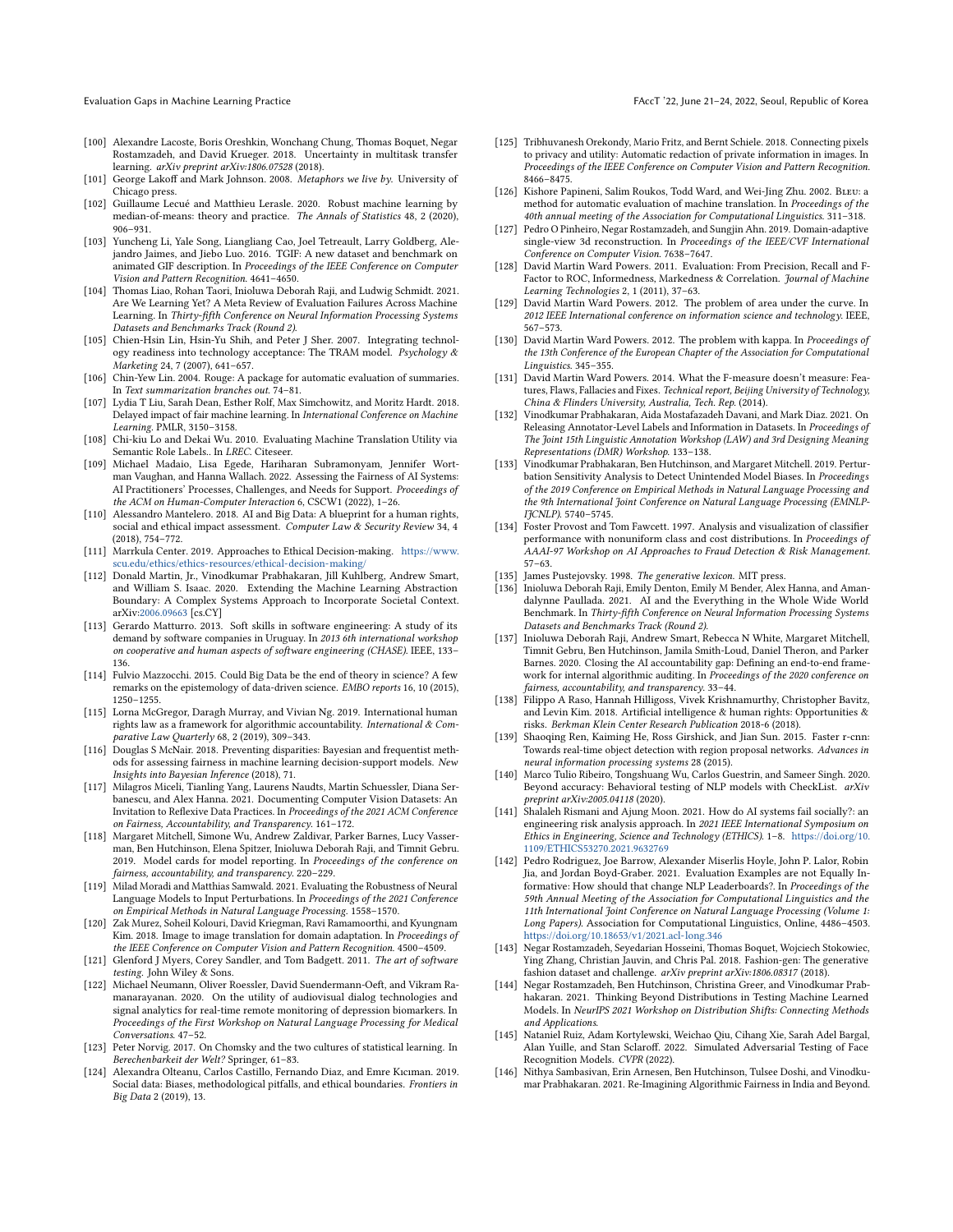- <span id="page-12-17"></span>[100] Alexandre Lacoste, Boris Oreshkin, Wonchang Chung, Thomas Boquet, Negar Rostamzadeh, and David Krueger. 2018. Uncertainty in multitask transfer learning. arXiv preprint arXiv:1806.07528 (2018).
- <span id="page-12-28"></span>[101] George Lakoff and Mark Johnson. 2008. Metaphors we live by. University of Chicago press.
- <span id="page-12-13"></span>[102] Guillaume Lecué and Matthieu Lerasle. 2020. Robust machine learning by median-of-means: theory and practice. The Annals of Statistics 48, 2 (2020), 906–931.
- <span id="page-12-14"></span>[103] Yuncheng Li, Yale Song, Liangliang Cao, Joel Tetreault, Larry Goldberg, Alejandro Jaimes, and Jiebo Luo. 2016. TGIF: A new dataset and benchmark on animated GIF description. In Proceedings of the IEEE Conference on Computer Vision and Pattern Recognition. 4641–4650.
- <span id="page-12-0"></span>[104] Thomas Liao, Rohan Taori, Inioluwa Deborah Raji, and Ludwig Schmidt. 2021. Are We Learning Yet? A Meta Review of Evaluation Failures Across Machine Learning. In Thirty-fifth Conference on Neural Information Processing Systems Datasets and Benchmarks Track (Round 2).
- <span id="page-12-3"></span>[105] Chien-Hsin Lin, Hsin-Yu Shih, and Peter J Sher. 2007. Integrating technology readiness into technology acceptance: The TRAM model. Psychology & Marketing 24, 7 (2007), 641–657.
- <span id="page-12-46"></span>[106] Chin-Yew Lin. 2004. Rouge: A package for automatic evaluation of summaries. In Text summarization branches out. 74–81.
- <span id="page-12-31"></span>[107] Lydia T Liu, Sarah Dean, Esther Rolf, Max Simchowitz, and Moritz Hardt. 2018. Delayed impact of fair machine learning. In International Conference on Machine Learning. PMLR, 3150–3158.
- <span id="page-12-21"></span>[108] Chi-kiu Lo and Dekai Wu. 2010. Evaluating Machine Translation Utility via Semantic Role Labels.. In LREC. Citeseer.
- <span id="page-12-44"></span>[109] Michael Madaio, Lisa Egede, Hariharan Subramonyam, Jennifer Wortman Vaughan, and Hanna Wallach. 2022. Assessing the Fairness of AI Systems: AI Practitioners' Processes, Challenges, and Needs for Support. Proceedings of the ACM on Human-Computer Interaction 6, CSCW1 (2022), 1–26.
- <span id="page-12-37"></span>[110] Alessandro Mantelero. 2018. AI and Big Data: A blueprint for a human rights, social and ethical impact assessment. Computer Law & Security Review 34, 4 (2018), 754–772.
- <span id="page-12-29"></span>[111] Marrkula Center. 2019. Approaches to Ethical Decision-making. [https://www.](https://www.scu.edu/ethics/ethics-resources/ethical-decision-making/) [scu.edu/ethics/ethics-resources/ethical-decision-making/](https://www.scu.edu/ethics/ethics-resources/ethical-decision-making/)
- <span id="page-12-26"></span>[112] Donald Martin, Jr., Vinodkumar Prabhakaran, Jill Kuhlberg, Andrew Smart, and William S. Isaac. 2020. Extending the Machine Learning Abstraction Boundary: A Complex Systems Approach to Incorporate Societal Context. arXiv[:2006.09663](https://arxiv.org/abs/2006.09663) [cs.CY]
- <span id="page-12-43"></span>[113] Gerardo Matturro. 2013. Soft skills in software engineering: A study of its demand by software companies in Uruguay. In 2013 6th international workshop on cooperative and human aspects of software engineering (CHASE). IEEE, 133– 136.
- <span id="page-12-10"></span>[114] Fulvio Mazzocchi. 2015. Could Big Data be the end of theory in science? A few remarks on the epistemology of data-driven science. EMBO reports 16, 10 (2015), 1250–1255.
- <span id="page-12-24"></span>[115] Lorna McGregor, Daragh Murray, and Vivian Ng. 2019. International human rights law as a framework for algorithmic accountability. International & Comparative Law Quarterly 68, 2 (2019), 309–343.
- <span id="page-12-39"></span>[116] Douglas S McNair. 2018. Preventing disparities: Bayesian and frequentist methods for assessing fairness in machine learning decision-support models. New Insights into Bayesian Inference (2018), 71.
- <span id="page-12-36"></span>[117] Milagros Miceli, Tianling Yang, Laurens Naudts, Martin Schuessler, Diana Serbanescu, and Alex Hanna. 2021. Documenting Computer Vision Datasets: An Invitation to Reflexive Data Practices. In Proceedings of the 2021 ACM Conference on Fairness, Accountability, and Transparency. 161–172.
- <span id="page-12-7"></span>[118] Margaret Mitchell, Simone Wu, Andrew Zaldivar, Parker Barnes, Lucy Vasserman, Ben Hutchinson, Elena Spitzer, Inioluwa Deborah Raji, and Timnit Gebru. 2019. Model cards for model reporting. In Proceedings of the conference on fairness, accountability, and transparency. 220–229.
- <span id="page-12-5"></span>[119] Milad Moradi and Matthias Samwald. 2021. Evaluating the Robustness of Neural Language Models to Input Perturbations. In Proceedings of the 2021 Conference on Empirical Methods in Natural Language Processing. 1558–1570.
- <span id="page-12-18"></span>[120] Zak Murez, Soheil Kolouri, David Kriegman, Ravi Ramamoorthi, and Kyungnam Kim. 2018. Image to image translation for domain adaptation. In Proceedings of the IEEE Conference on Computer Vision and Pattern Recognition. 4500–4509.
- <span id="page-12-42"></span>[121] Glenford J Myers, Corey Sandler, and Tom Badgett. 2011. The art of software testing. John Wiley & Sons.
- <span id="page-12-22"></span>[122] Michael Neumann, Oliver Roessler, David Suendermann-Oeft, and Vikram Ramanarayanan. 2020. On the utility of audiovisual dialog technologies and signal analytics for real-time remote monitoring of depression biomarkers. In Proceedings of the First Workshop on Natural Language Processing for Medical Conversations. 47–52.
- <span id="page-12-11"></span>[123] Peter Norvig. 2017. On Chomsky and the two cultures of statistical learning. In Berechenbarkeit der Welt? Springer, 61–83.
- <span id="page-12-12"></span>[124] Alexandra Olteanu, Carlos Castillo, Fernando Diaz, and Emre Kıcıman. 2019. Social data: Biases, methodological pitfalls, and ethical boundaries. Frontiers in Big Data 2 (2019), 13.
- <span id="page-12-23"></span>[125] Tribhuvanesh Orekondy, Mario Fritz, and Bernt Schiele. 2018. Connecting pixels to privacy and utility: Automatic redaction of private information in images. In Proceedings of the IEEE Conference on Computer Vision and Pattern Recognition. 8466–8475.
- <span id="page-12-45"></span>[126] Kishore Papineni, Salim Roukos, Todd Ward, and Wei-Jing Zhu. 2002. BLEU: a method for automatic evaluation of machine translation. In Proceedings of the 40th annual meeting of the Association for Computational Linguistics. 311–318.
- <span id="page-12-19"></span>[127] Pedro O Pinheiro, Negar Rostamzadeh, and Sungjin Ahn. 2019. Domain-adaptive single-view 3d reconstruction. In Proceedings of the IEEE/CVF International Conference on Computer Vision. 7638–7647.
- <span id="page-12-20"></span>[128] David Martin Ward Powers. 2011. Evaluation: From Precision, Recall and F-Factor to ROC, Informedness, Markedness & Correlation. Journal of Machine Learning Technologies 2, 1 (2011), 37–63.
- <span id="page-12-35"></span>[129] David Martin Ward Powers. 2012. The problem of area under the curve. In 2012 IEEE International conference on information science and technology. IEEE, 567–573.
- <span id="page-12-34"></span>[130] David Martin Ward Powers. 2012. The problem with kappa. In Proceedings of the 13th Conference of the European Chapter of the Association for Computational Linguistics. 345–355.
- <span id="page-12-33"></span>[131] David Martin Ward Powers. 2014. What the F-measure doesn't measure: Features, Flaws, Fallacies and Fixes. Technical report, Beijing University of Technology, China & Flinders University, Australia, Tech. Rep. (2014).
- <span id="page-12-38"></span>[132] Vinodkumar Prabhakaran, Aida Mostafazadeh Davani, and Mark Diaz. 2021. On Releasing Annotator-Level Labels and Information in Datasets. In Proceedings of The Joint 15th Linguistic Annotation Workshop (LAW) and 3rd Designing Meaning Representations (DMR) Workshop. 133–138.
- <span id="page-12-6"></span>[133] Vinodkumar Prabhakaran, Ben Hutchinson, and Margaret Mitchell. 2019. Perturbation Sensitivity Analysis to Detect Unintended Model Biases. In Proceedings of the 2019 Conference on Empirical Methods in Natural Language Processing and the 9th International Joint Conference on Natural Language Processing (EMNLP-IJCNLP). 5740–5745.
- <span id="page-12-30"></span>[134] Foster Provost and Tom Fawcett. 1997. Analysis and visualization of classifier performance with nonuniform class and cost distributions. In Proceedings of AAAI-97 Workshop on AI Approaches to Fraud Detection & Risk Management. 57–63.
- <span id="page-12-9"></span>[135] James Pustejovsky. 1998. The generative lexicon. MIT press.
- <span id="page-12-2"></span>[136] Inioluwa Deborah Raji, Emily Denton, Emily M Bender, Alex Hanna, and Amandalynne Paullada. 2021. AI and the Everything in the Whole Wide World Benchmark. In Thirty-fifth Conference on Neural Information Processing Systems Datasets and Benchmarks Track (Round 2).
- <span id="page-12-8"></span>[137] Inioluwa Deborah Raji, Andrew Smart, Rebecca N White, Margaret Mitchell, Timnit Gebru, Ben Hutchinson, Jamila Smith-Loud, Daniel Theron, and Parker Barnes. 2020. Closing the AI accountability gap: Defining an end-to-end framework for internal algorithmic auditing. In Proceedings of the 2020 conference on fairness, accountability, and transparency. 33–44.
- <span id="page-12-25"></span>[138] Filippo A Raso, Hannah Hilligoss, Vivek Krishnamurthy, Christopher Bavitz, and Levin Kim. 2018. Artificial intelligence & human rights: Opportunities & risks. Berkman Klein Center Research Publication 2018-6 (2018).
- <span id="page-12-16"></span>[139] Shaoqing Ren, Kaiming He, Ross Girshick, and Jian Sun. 2015. Faster r-cnn: Towards real-time object detection with region proposal networks. Advances in neural information processing systems 28 (2015).
- <span id="page-12-32"></span>[140] Marco Tulio Ribeiro, Tongshuang Wu, Carlos Guestrin, and Sameer Singh. 2020. Beyond accuracy: Behavioral testing of NLP models with CheckList. arXiv preprint arXiv:2005.04118 (2020).
- <span id="page-12-4"></span>[141] Shalaleh Rismani and Ajung Moon. 2021. How do AI systems fail socially?: an engineering risk analysis approach. In 2021 IEEE International Symposium on Ethics in Engineering, Science and Technology (ETHICS). 1–8. [https://doi.org/10.](https://doi.org/10.1109/ETHICS53270.2021.9632769) [1109/ETHICS53270.2021.9632769](https://doi.org/10.1109/ETHICS53270.2021.9632769)
- <span id="page-12-1"></span>[142] Pedro Rodriguez, Joe Barrow, Alexander Miserlis Hoyle, John P. Lalor, Robin Jia, and Jordan Boyd-Graber. 2021. Evaluation Examples are not Equally Informative: How should that change NLP Leaderboards?. In Proceedings of the 59th Annual Meeting of the Association for Computational Linguistics and the 11th International Joint Conference on Natural Language Processing (Volume 1: Long Papers). Association for Computational Linguistics, Online, 4486–4503. <https://doi.org/10.18653/v1/2021.acl-long.346>
- <span id="page-12-15"></span>[143] Negar Rostamzadeh, Seyedarian Hosseini, Thomas Boquet, Wojciech Stokowiec, Ying Zhang, Christian Jauvin, and Chris Pal. 2018. Fashion-gen: The generative fashion dataset and challenge. arXiv preprint arXiv:1806.08317 (2018).
- <span id="page-12-41"></span>[144] Negar Rostamzadeh, Ben Hutchinson, Christina Greer, and Vinodkumar Prabhakaran. 2021. Thinking Beyond Distributions in Testing Machine Learned Models. In NeurIPS 2021 Workshop on Distribution Shifts: Connecting Methods and Applications.
- <span id="page-12-40"></span>[145] Nataniel Ruiz, Adam Kortylewski, Weichao Qiu, Cihang Xie, Sarah Adel Bargal, Alan Yuille, and Stan Sclaroff. 2022. Simulated Adversarial Testing of Face Recognition Models. CVPR (2022).
- <span id="page-12-27"></span>[146] Nithya Sambasivan, Erin Arnesen, Ben Hutchinson, Tulsee Doshi, and Vinodkumar Prabhakaran. 2021. Re-Imagining Algorithmic Fairness in India and Beyond.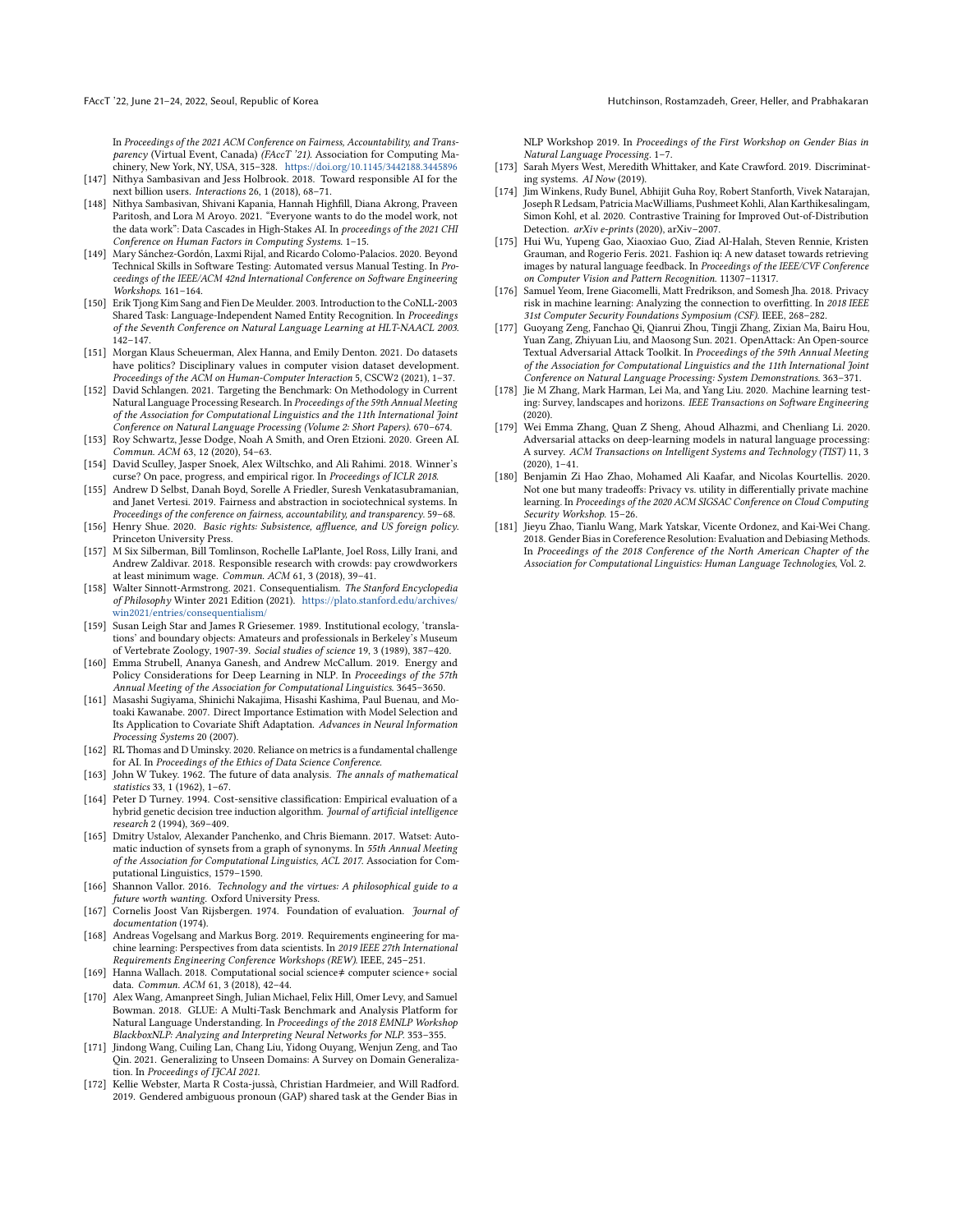In Proceedings of the 2021 ACM Conference on Fairness, Accountability, and Transparency (Virtual Event, Canada) (FAccT '21). Association for Computing Machinery, New York, NY, USA, 315–328. <https://doi.org/10.1145/3442188.3445896> [147] Nithya Sambasivan and Jess Holbrook. 2018. Toward responsible AI for the

- <span id="page-13-20"></span>next billion users. Interactions 26, 1 (2018), 68–71.
- <span id="page-13-11"></span>[148] Nithya Sambasivan, Shivani Kapania, Hannah Highfill, Diana Akrong, Praveen Paritosh, and Lora M Aroyo. 2021. "Everyone wants to do the model work, not the data work": Data Cascades in High-Stakes AI. In proceedings of the 2021 CHI Conference on Human Factors in Computing Systems. 1–15.
- <span id="page-13-32"></span>[149] Mary Sánchez-Gordón, Laxmi Rijal, and Ricardo Colomo-Palacios. 2020. Beyond Technical Skills in Software Testing: Automated versus Manual Testing. In Proceedings of the IEEE/ACM 42nd International Conference on Software Engineering Workshops. 161–164.
- <span id="page-13-12"></span>[150] Erik Tjong Kim Sang and Fien De Meulder. 2003. Introduction to the CoNLL-2003 Shared Task: Language-Independent Named Entity Recognition. In Proceedings of the Seventh Conference on Natural Language Learning at HLT-NAACL 2003. 142–147.
- <span id="page-13-23"></span>[151] Morgan Klaus Scheuerman, Alex Hanna, and Emily Denton. 2021. Do datasets have politics? Disciplinary values in computer vision dataset development. Proceedings of the ACM on Human-Computer Interaction 5, CSCW2 (2021), 1–37.
- <span id="page-13-2"></span>[152] David Schlangen. 2021. Targeting the Benchmark: On Methodology in Current Natural Language Processing Research. In Proceedings of the 59th Annual Meeting of the Association for Computational Linguistics and the 11th International Joint Conference on Natural Language Processing (Volume 2: Short Papers). 670–674.
- <span id="page-13-7"></span>[153] Roy Schwartz, Jesse Dodge, Noah A Smith, and Oren Etzioni. 2020. Green AI. Commun. ACM 63, 12 (2020), 54–63.
- <span id="page-13-0"></span>[154] David Sculley, Jasper Snoek, Alex Wiltschko, and Ali Rahimi. 2018. Winner's curse? On pace, progress, and empirical rigor. In Proceedings of ICLR 2018.
- <span id="page-13-18"></span>[155] Andrew D Selbst, Danah Boyd, Sorelle A Friedler, Suresh Venkatasubramanian, and Janet Vertesi. 2019. Fairness and abstraction in sociotechnical systems. In Proceedings of the conference on fairness, accountability, and transparency. 59–68.
- <span id="page-13-17"></span>[156] Henry Shue. 2020. Basic rights: Subsistence, affluence, and US foreign policy. Princeton University Press.
- <span id="page-13-16"></span>[157] M Six Silberman, Bill Tomlinson, Rochelle LaPlante, Joel Ross, Lilly Irani, and Andrew Zaldivar. 2018. Responsible research with crowds: pay crowdworkers at least minimum wage. Commun. ACM 61, 3 (2018), 39–41.
- <span id="page-13-13"></span>[158] Walter Sinnott-Armstrong. 2021. Consequentialism. The Stanford Encyclopedia of Philosophy Winter 2021 Edition (2021). [https://plato.stanford.edu/archives/](https://plato.stanford.edu/archives/win2021/entries/consequentialism/) [win2021/entries/consequentialism/](https://plato.stanford.edu/archives/win2021/entries/consequentialism/)
- <span id="page-13-33"></span>[159] Susan Leigh Star and James R Griesemer. 1989. Institutional ecology, 'translations' and boundary objects: Amateurs and professionals in Berkeley's Museum of Vertebrate Zoology, 1907-39. Social studies of science 19, 3 (1989), 387–420.
- <span id="page-13-15"></span>[160] Emma Strubell, Ananya Ganesh, and Andrew McCallum. 2019. Energy and Policy Considerations for Deep Learning in NLP. In Proceedings of the 57th Annual Meeting of the Association for Computational Linguistics. 3645–3650.
- <span id="page-13-4"></span>[161] Masashi Sugiyama, Shinichi Nakajima, Hisashi Kashima, Paul Buenau, and Motoaki Kawanabe. 2007. Direct Importance Estimation with Model Selection and Its Application to Covariate Shift Adaptation. Advances in Neural Information Processing Systems 20 (2007).
- <span id="page-13-1"></span>[162] RL Thomas and D Uminsky. 2020. Reliance on metrics is a fundamental challenge for AI. In Proceedings of the Ethics of Data Science Conference.
- <span id="page-13-6"></span>[163] John W Tukey. 1962. The future of data analysis. The annals of mathematical statistics 33, 1 (1962), 1–67.
- <span id="page-13-28"></span>[164] Peter D Turney. 1994. Cost-sensitive classification: Empirical evaluation of a hybrid genetic decision tree induction algorithm. Journal of artificial intelligence research 2 (1994), 369–409.
- <span id="page-13-10"></span>[165] Dmitry Ustalov, Alexander Panchenko, and Chris Biemann. 2017. Watset: Automatic induction of synsets from a graph of synonyms. In 55th Annual Meeting of the Association for Computational Linguistics, ACL 2017. Association for Computational Linguistics, 1579–1590.
- <span id="page-13-25"></span>[166] Shannon Vallor. 2016. Technology and the virtues: A philosophical guide to a future worth wanting. Oxford University Press.
- <span id="page-13-34"></span>[167] Cornelis Joost Van Rijsbergen. 1974. Foundation of evaluation. Journal of documentation (1974).
- <span id="page-13-24"></span>[168] Andreas Vogelsang and Markus Borg. 2019. Requirements engineering for machine learning: Perspectives from data scientists. In 2019 IEEE 27th International Requirements Engineering Conference Workshops (REW). IEEE, 245–251.
- <span id="page-13-8"></span>[169] Hanna Wallach. 2018. Computational social science≠ computer science+ social data. Commun. ACM 61, 3 (2018), 42–44.
- <span id="page-13-19"></span>[170] Alex Wang, Amanpreet Singh, Julian Michael, Felix Hill, Omer Levy, and Samuel Bowman. 2018. GLUE: A Multi-Task Benchmark and Analysis Platform for Natural Language Understanding. In Proceedings of the 2018 EMNLP Workshop BlackboxNLP: Analyzing and Interpreting Neural Networks for NLP. 353–355.
- <span id="page-13-22"></span>[171] Jindong Wang, Cuiling Lan, Chang Liu, Yidong Ouyang, Wenjun Zeng, and Tao Qin. 2021. Generalizing to Unseen Domains: A Survey on Domain Generalization. In Proceedings of IJCAI 2021.
- <span id="page-13-29"></span>[172] Kellie Webster, Marta R Costa-jussà, Christian Hardmeier, and Will Radford. 2019. Gendered ambiguous pronoun (GAP) shared task at the Gender Bias in

NLP Workshop 2019. In Proceedings of the First Workshop on Gender Bias in Natural Language Processing. 1–7.

- <span id="page-13-21"></span>[173] Sarah Myers West, Meredith Whittaker, and Kate Crawford. 2019. Discriminating systems. AI Now (2019).
- <span id="page-13-5"></span>[174] Jim Winkens, Rudy Bunel, Abhijit Guha Roy, Robert Stanforth, Vivek Natarajan, Joseph R Ledsam, Patricia MacWilliams, Pushmeet Kohli, Alan Karthikesalingam, Simon Kohl, et al. 2020. Contrastive Training for Improved Out-of-Distribution Detection. arXiv e-prints (2020), arXiv–2007.
- <span id="page-13-9"></span>[175] Hui Wu, Yupeng Gao, Xiaoxiao Guo, Ziad Al-Halah, Steven Rennie, Kristen Grauman, and Rogerio Feris. 2021. Fashion iq: A new dataset towards retrieving images by natural language feedback. In Proceedings of the IEEE/CVF Conference on Computer Vision and Pattern Recognition. 11307–11317.
- <span id="page-13-26"></span>[176] Samuel Yeom, Irene Giacomelli, Matt Fredrikson, and Somesh Jha. 2018. Privacy risk in machine learning: Analyzing the connection to overfitting. In 2018 IEEE 31st Computer Security Foundations Symposium (CSF). IEEE, 268–282.
- <span id="page-13-30"></span>[177] Guoyang Zeng, Fanchao Qi, Qianrui Zhou, Tingji Zhang, Zixian Ma, Bairu Hou, Yuan Zang, Zhiyuan Liu, and Maosong Sun. 2021. OpenAttack: An Open-source Textual Adversarial Attack Toolkit. In Proceedings of the 59th Annual Meeting of the Association for Computational Linguistics and the 11th International Joint Conference on Natural Language Processing: System Demonstrations. 363–371.
- <span id="page-13-3"></span>[178] Jie M Zhang, Mark Harman, Lei Ma, and Yang Liu. 2020. Machine learning testing: Survey, landscapes and horizons. IEEE Transactions on Software Engineering (2020).
- <span id="page-13-31"></span>[179] Wei Emma Zhang, Quan Z Sheng, Ahoud Alhazmi, and Chenliang Li. 2020. Adversarial attacks on deep-learning models in natural language processing: A survey. ACM Transactions on Intelligent Systems and Technology (TIST) 11, 3 (2020), 1–41.
- <span id="page-13-14"></span>[180] Benjamin Zi Hao Zhao, Mohamed Ali Kaafar, and Nicolas Kourtellis. 2020. Not one but many tradeoffs: Privacy vs. utility in differentially private machine learning. In Proceedings of the 2020 ACM SIGSAC Conference on Cloud Computing Security Workshop. 15–26.
- <span id="page-13-27"></span>[181] Jieyu Zhao, Tianlu Wang, Mark Yatskar, Vicente Ordonez, and Kai-Wei Chang. 2018. Gender Bias in Coreference Resolution: Evaluation and Debiasing Methods. In Proceedings of the 2018 Conference of the North American Chapter of the Association for Computational Linguistics: Human Language Technologies, Vol. 2.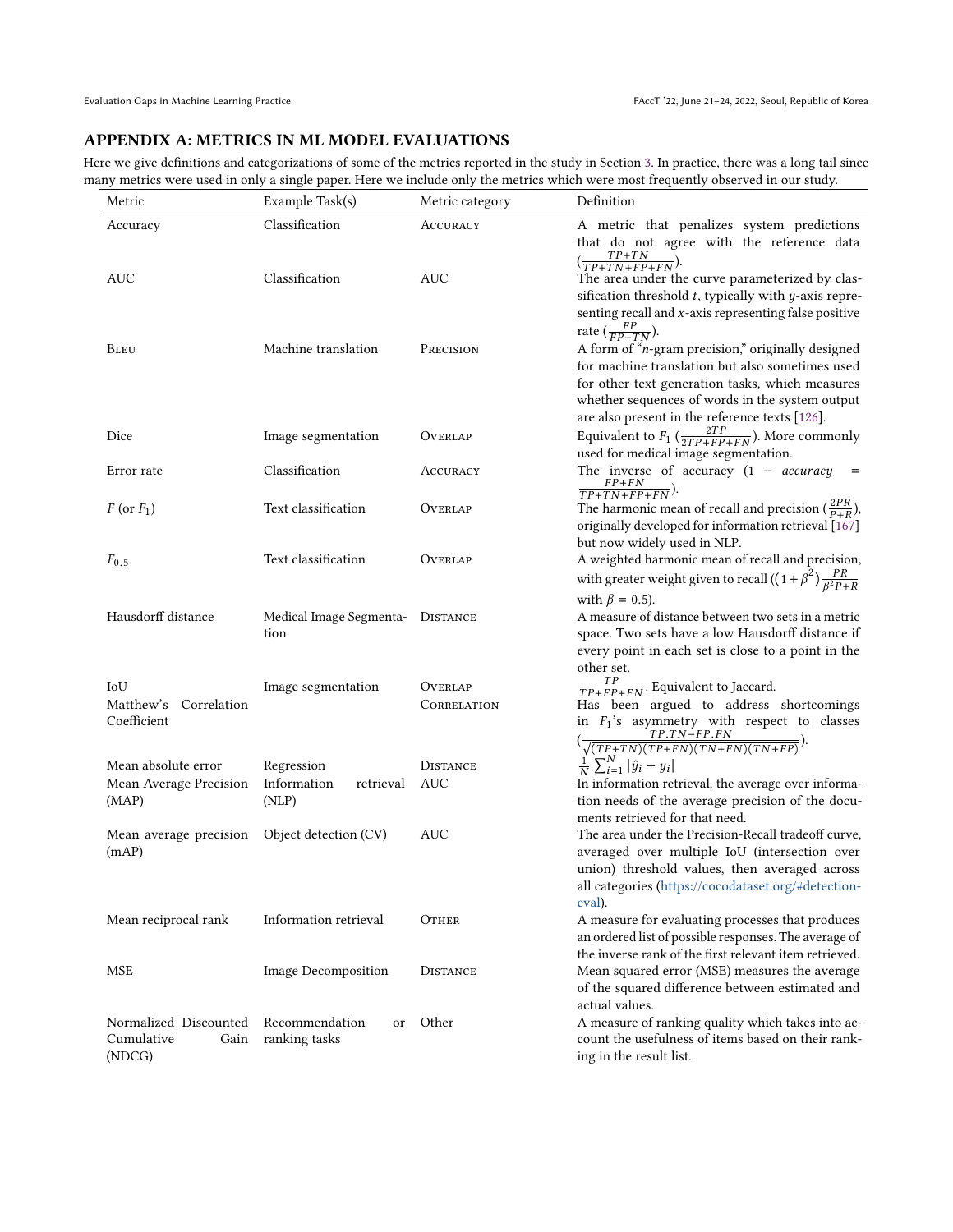# APPENDIX A: METRICS IN ML MODEL EVALUATIONS

Here we give definitions and categorizations of some of the metrics reported in the study in Section [3.](#page-2-3) In practice, there was a long tail since many metrics were used in only a single paper. Here we include only the metrics which were most frequently observed in our study.

| Metric                   | Example Task(s)                  | Metric category | Definition                                                               |
|--------------------------|----------------------------------|-----------------|--------------------------------------------------------------------------|
| Accuracy                 | Classification                   | ACCURACY        | A metric that penalizes system predictions                               |
|                          |                                  |                 | that do not agree with the reference data                                |
|                          |                                  |                 | $(\frac{TP+TN}{TP+TN+FP+FN}).$                                           |
| AUC                      | Classification                   | AUC             | The area under the curve parameterized by clas-                          |
|                          |                                  |                 | sification threshold $t$ , typically with $y$ -axis repre-               |
|                          |                                  |                 | senting recall and $x$ -axis representing false positive                 |
|                          |                                  |                 | rate $(\frac{FP}{FP+TN})$ .                                              |
| <b>BLEU</b>              | Machine translation              | PRECISION       | A form of "n-gram precision," originally designed                        |
|                          |                                  |                 | for machine translation but also sometimes used                          |
|                          |                                  |                 | for other text generation tasks, which measures                          |
|                          |                                  |                 | whether sequences of words in the system output                          |
|                          |                                  |                 | are also present in the reference texts [126].                           |
| Dice                     | Image segmentation               | OVERLAP         | Equivalent to $F_1$ ( $\frac{2TP}{2TP+FP+FN}$ ). More commonly           |
|                          |                                  |                 | used for medical image segmentation.                                     |
| Error rate               | Classification                   | ACCURACY        | The inverse of accuracy $(1 - accuracy)$<br>$\equiv$                     |
|                          |                                  |                 | $\frac{FP+FN}{TP+TN+FP+FN}$ ).                                           |
| $F$ (or $F_1$ )          | Text classification              | OVERLAP         | The harmonic mean of recall and precision $(\frac{2PR}{P+R})$ ,          |
|                          |                                  |                 | originally developed for information retrieval [167]                     |
|                          |                                  |                 | but now widely used in NLP.                                              |
| $F_{0.5}$                | Text classification              | OVERLAP         | A weighted harmonic mean of recall and precision,                        |
|                          |                                  |                 | with greater weight given to recall $((1+\beta^2)\frac{PR}{\beta^2P+R})$ |
|                          |                                  |                 |                                                                          |
|                          |                                  |                 | with $\beta = 0.5$ ).                                                    |
| Hausdorff distance       | Medical Image Segmenta- DISTANCE |                 | A measure of distance between two sets in a metric                       |
|                          | tion                             |                 | space. Two sets have a low Hausdorff distance if                         |
|                          |                                  |                 | every point in each set is close to a point in the<br>other set.         |
|                          |                                  |                 |                                                                          |
| IoU                      | Image segmentation               | OVERLAP         | $\frac{TP}{TP+FP+FN}$ . Equivalent to Jaccard.                           |
| Matthew's<br>Correlation |                                  | CORRELATION     | Has been argued to address shortcomings                                  |
| Coefficient              |                                  |                 | in $F_1$ 's asymmetry with respect to classes                            |
|                          |                                  |                 | $(\frac{TP.TN-FP.FN}{\sqrt{(TP+TN)(TP+FN)(TN+FN)(TN+FP)}}).$             |
| Mean absolute error      | Regression                       | <b>DISTANCE</b> | $\frac{1}{N}\sum_{i=1}^{N} \hat{y}_i - y_i $                             |
| Mean Average Precision   | Information<br>retrieval         | AUC             | In information retrieval, the average over informa-                      |
| (MAP)                    | (NLP)                            |                 | tion needs of the average precision of the docu-                         |
|                          |                                  |                 | ments retrieved for that need.                                           |
| Mean average precision   | Object detection (CV)            | AUC             | The area under the Precision-Recall tradeoff curve,                      |
| (mAP)                    |                                  |                 | averaged over multiple IoU (intersection over                            |
|                          |                                  |                 | union) threshold values, then averaged across                            |
|                          |                                  |                 | all categories (https://cocodataset.org/#detection-                      |
|                          |                                  |                 | eval).                                                                   |
| Mean reciprocal rank     | Information retrieval            | OTHER           | A measure for evaluating processes that produces                         |
|                          |                                  |                 | an ordered list of possible responses. The average of                    |
|                          |                                  |                 | the inverse rank of the first relevant item retrieved.                   |
| <b>MSE</b>               | <b>Image Decomposition</b>       | <b>DISTANCE</b> | Mean squared error (MSE) measures the average                            |
|                          |                                  |                 | of the squared difference between estimated and                          |
|                          |                                  |                 | actual values.                                                           |
| Normalized Discounted    | Recommendation<br><sub>or</sub>  | Other           | A measure of ranking quality which takes into ac-                        |
| Cumulative<br>Gain       | ranking tasks                    |                 | count the usefulness of items based on their rank-                       |
| (NDCG)                   |                                  |                 | ing in the result list.                                                  |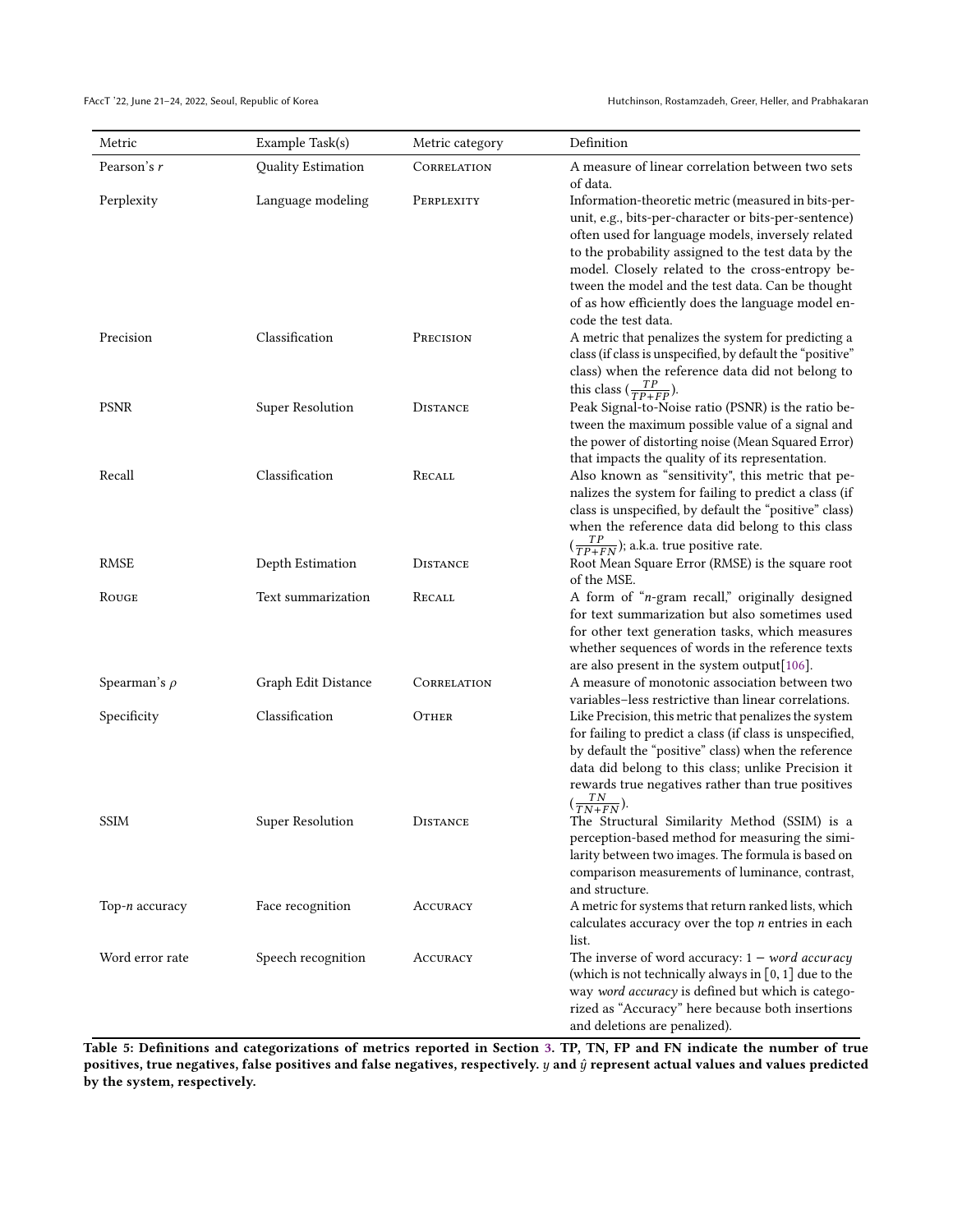| Metric            | Example Task(s)         | Metric category | Definition                                                                                                                                                                                                                                                                                                                                  |
|-------------------|-------------------------|-----------------|---------------------------------------------------------------------------------------------------------------------------------------------------------------------------------------------------------------------------------------------------------------------------------------------------------------------------------------------|
| Pearson's r       | Quality Estimation      | CORRELATION     | A measure of linear correlation between two sets                                                                                                                                                                                                                                                                                            |
| Perplexity        | Language modeling       | PERPLEXITY      | of data.<br>Information-theoretic metric (measured in bits-per-<br>unit, e.g., bits-per-character or bits-per-sentence)<br>often used for language models, inversely related<br>to the probability assigned to the test data by the<br>model. Closely related to the cross-entropy be-<br>tween the model and the test data. Can be thought |
| Precision         | Classification          | PRECISION       | of as how efficiently does the language model en-<br>code the test data.<br>A metric that penalizes the system for predicting a<br>class (if class is unspecified, by default the "positive"<br>class) when the reference data did not belong to                                                                                            |
| <b>PSNR</b>       | <b>Super Resolution</b> | <b>DISTANCE</b> | this class $(\frac{TP}{TP+FP})$ .<br>Peak Signal-to-Noise ratio (PSNR) is the ratio be-<br>tween the maximum possible value of a signal and                                                                                                                                                                                                 |
| Recall            | Classification          | RECALL          | the power of distorting noise (Mean Squared Error)<br>that impacts the quality of its representation.<br>Also known as "sensitivity", this metric that pe-<br>nalizes the system for failing to predict a class (if<br>class is unspecified, by default the "positive" class)<br>when the reference data did belong to this class           |
| <b>RMSE</b>       | Depth Estimation        | <b>DISTANCE</b> | $(\frac{TP}{TP+FN})$ ; a.k.a. true positive rate.<br>Root Mean Square Error (RMSE) is the square root<br>of the MSE.                                                                                                                                                                                                                        |
| ROUGE             | Text summarization      | RECALL          | A form of "n-gram recall," originally designed<br>for text summarization but also sometimes used<br>for other text generation tasks, which measures<br>whether sequences of words in the reference texts                                                                                                                                    |
| Spearman's $\rho$ | Graph Edit Distance     | CORRELATION     | are also present in the system output[106].<br>A measure of monotonic association between two<br>variables-less restrictive than linear correlations.                                                                                                                                                                                       |
| Specificity       | Classification          | OTHER           | Like Precision, this metric that penalizes the system<br>for failing to predict a class (if class is unspecified,<br>by default the "positive" class) when the reference<br>data did belong to this class; unlike Precision it<br>rewards true negatives rather than true positives                                                         |
| <b>SSIM</b>       | Super Resolution        | <b>DISTANCE</b> | $(\frac{TN}{TN+FN}).$<br>The Structural Similarity Method (SSIM) is a<br>perception-based method for measuring the simi-<br>larity between two images. The formula is based on<br>comparison measurements of luminance, contrast,<br>and structure.                                                                                         |
| Top-n accuracy    | Face recognition        | ACCURACY        | A metric for systems that return ranked lists, which<br>calculates accuracy over the top $n$ entries in each<br>list.                                                                                                                                                                                                                       |
| Word error rate   | Speech recognition      | ACCURACY        | The inverse of word accuracy: $1 - word$ accuracy<br>(which is not technically always in $[0, 1]$ due to the<br>way word accuracy is defined but which is catego-<br>rized as "Accuracy" here because both insertions<br>and deletions are penalized).                                                                                      |

Table 5: Definitions and categorizations of metrics reported in Section [3.](#page-2-3) TP, TN, FP and FN indicate the number of true positives, true negatives, false positives and false negatives, respectively.  $y$  and  $\hat{y}$  represent actual values and values predicted by the system, respectively.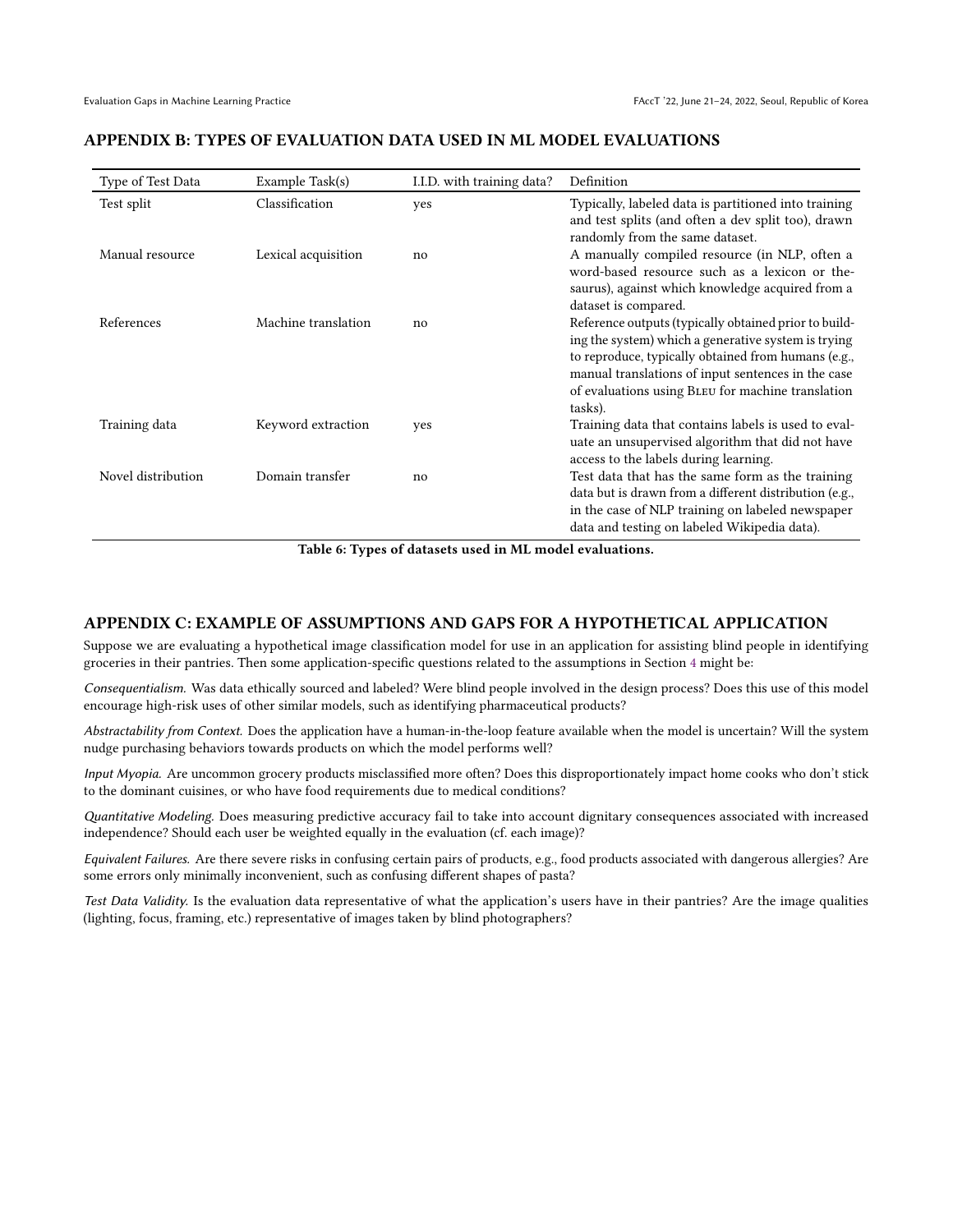| Type of Test Data  | Example Task(s)     | I.I.D. with training data? | Definition                                                                                                                                                                                                                                        |
|--------------------|---------------------|----------------------------|---------------------------------------------------------------------------------------------------------------------------------------------------------------------------------------------------------------------------------------------------|
| Test split         | Classification      | yes                        | Typically, labeled data is partitioned into training<br>and test splits (and often a dev split too), drawn                                                                                                                                        |
| Manual resource    | Lexical acquisition | no                         | randomly from the same dataset.<br>A manually compiled resource (in NLP, often a<br>word-based resource such as a lexicon or the-<br>saurus), against which knowledge acquired from a                                                             |
| References         | Machine translation | no                         | dataset is compared.<br>Reference outputs (typically obtained prior to build-<br>ing the system) which a generative system is trying<br>to reproduce, typically obtained from humans (e.g.,<br>manual translations of input sentences in the case |
| Training data      | Keyword extraction  |                            | of evaluations using BLEU for machine translation<br>tasks).<br>Training data that contains labels is used to eval-                                                                                                                               |
|                    |                     | yes                        | uate an unsupervised algorithm that did not have<br>access to the labels during learning.                                                                                                                                                         |
| Novel distribution | Domain transfer     | no                         | Test data that has the same form as the training<br>data but is drawn from a different distribution (e.g.,<br>in the case of NLP training on labeled newspaper<br>data and testing on labeled Wikipedia data).                                    |

#### APPENDIX B: TYPES OF EVALUATION DATA USED IN ML MODEL EVALUATIONS

Table 6: Types of datasets used in ML model evaluations.

### APPENDIX C: EXAMPLE OF ASSUMPTIONS AND GAPS FOR A HYPOTHETICAL APPLICATION

Suppose we are evaluating a hypothetical image classification model for use in an application for assisting blind people in identifying groceries in their pantries. Then some application-specific questions related to the assumptions in Section [4](#page-4-2) might be:

Consequentialism. Was data ethically sourced and labeled? Were blind people involved in the design process? Does this use of this model encourage high-risk uses of other similar models, such as identifying pharmaceutical products?

Abstractability from Context. Does the application have a human-in-the-loop feature available when the model is uncertain? Will the system nudge purchasing behaviors towards products on which the model performs well?

Input Myopia. Are uncommon grocery products misclassified more often? Does this disproportionately impact home cooks who don't stick to the dominant cuisines, or who have food requirements due to medical conditions?

Quantitative Modeling. Does measuring predictive accuracy fail to take into account dignitary consequences associated with increased independence? Should each user be weighted equally in the evaluation (cf. each image)?

Equivalent Failures. Are there severe risks in confusing certain pairs of products, e.g., food products associated with dangerous allergies? Are some errors only minimally inconvenient, such as confusing different shapes of pasta?

Test Data Validity. Is the evaluation data representative of what the application's users have in their pantries? Are the image qualities (lighting, focus, framing, etc.) representative of images taken by blind photographers?